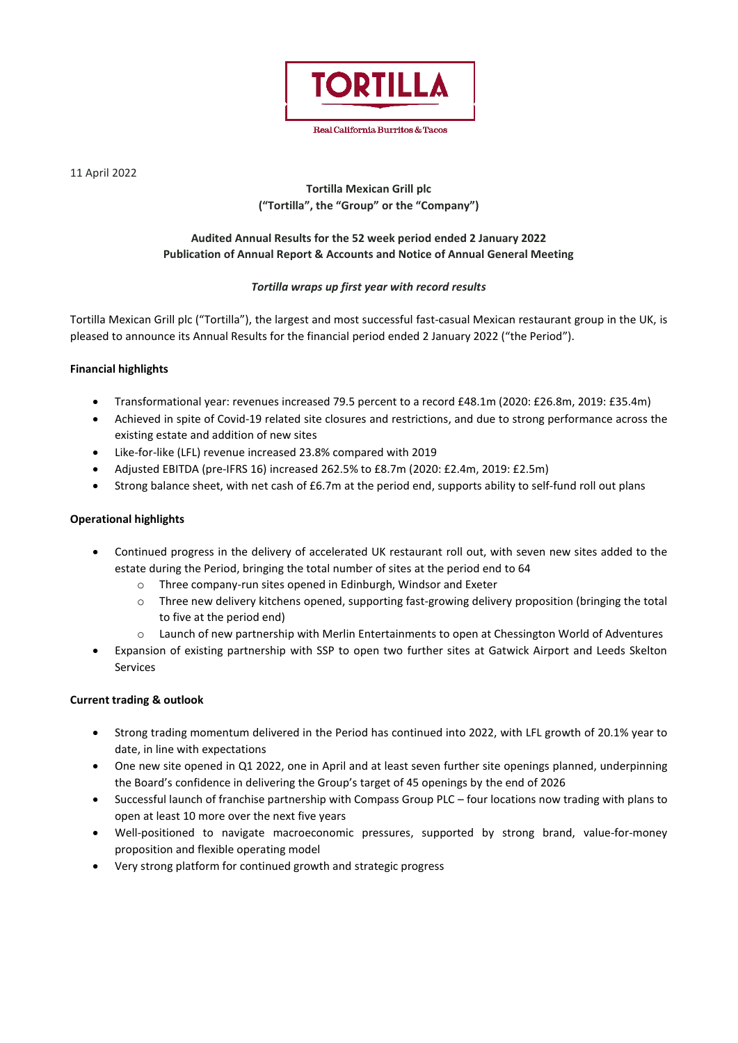

Real California Burritos & Tacos

11 April 2022

# **Tortilla Mexican Grill plc ("Tortilla", the "Group" or the "Company")**

# **Audited Annual Results for the 52 week period ended 2 January 2022 Publication of Annual Report & Accounts and Notice of Annual General Meeting**

# *Tortilla wraps up first year with record results*

Tortilla Mexican Grill plc ("Tortilla"), the largest and most successful fast-casual Mexican restaurant group in the UK, is pleased to announce its Annual Results for the financial period ended 2 January 2022 ("the Period").

# **Financial highlights**

- Transformational year: revenues increased 79.5 percent to a record £48.1m (2020: £26.8m, 2019: £35.4m)
- Achieved in spite of Covid-19 related site closures and restrictions, and due to strong performance across the existing estate and addition of new sites
- Like-for-like (LFL) revenue increased 23.8% compared with 2019
- Adjusted EBITDA (pre-IFRS 16) increased 262.5% to £8.7m (2020: £2.4m, 2019: £2.5m)
- Strong balance sheet, with net cash of £6.7m at the period end, supports ability to self-fund roll out plans

# **Operational highlights**

- Continued progress in the delivery of accelerated UK restaurant roll out, with seven new sites added to the estate during the Period, bringing the total number of sites at the period end to 64
	- o Three company-run sites opened in Edinburgh, Windsor and Exeter
	- o Three new delivery kitchens opened, supporting fast-growing delivery proposition (bringing the total to five at the period end)
	- o Launch of new partnership with Merlin Entertainments to open at Chessington World of Adventures
- Expansion of existing partnership with SSP to open two further sites at Gatwick Airport and Leeds Skelton Services

# **Current trading & outlook**

- Strong trading momentum delivered in the Period has continued into 2022, with LFL growth of 20.1% year to date, in line with expectations
- One new site opened in Q1 2022, one in April and at least seven further site openings planned, underpinning the Board's confidence in delivering the Group's target of 45 openings by the end of 2026
- Successful launch of franchise partnership with Compass Group PLC four locations now trading with plans to open at least 10 more over the next five years
- Well-positioned to navigate macroeconomic pressures, supported by strong brand, value-for-money proposition and flexible operating model
- Very strong platform for continued growth and strategic progress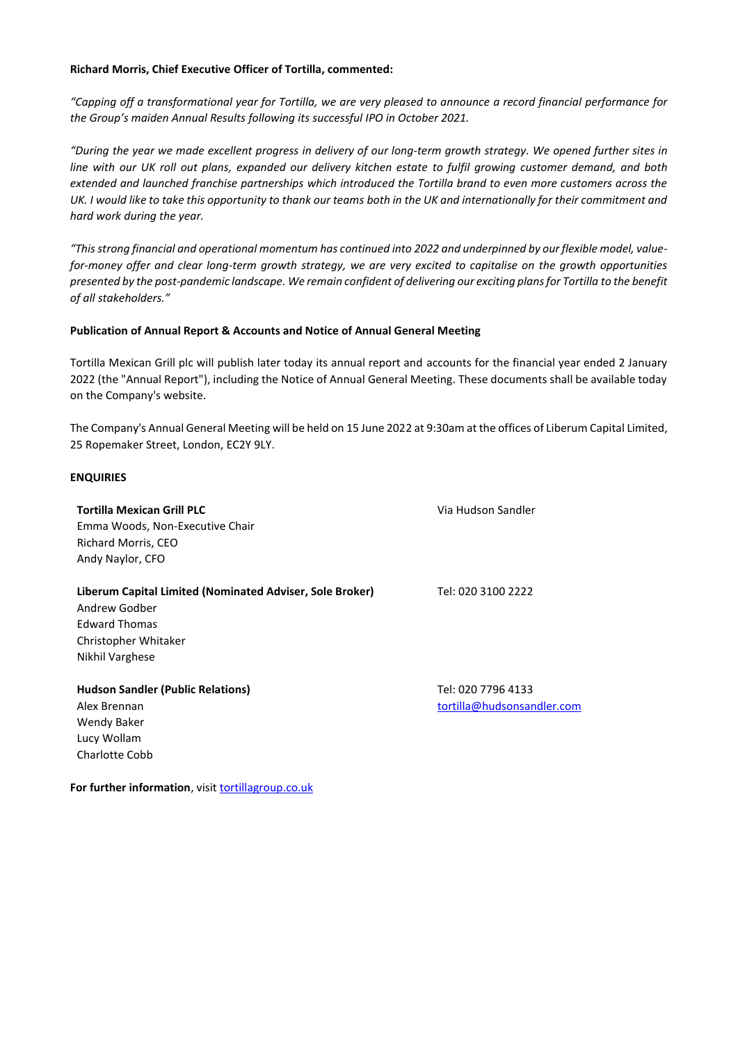### **Richard Morris, Chief Executive Officer of Tortilla, commented:**

*"Capping off a transformational year for Tortilla, we are very pleased to announce a record financial performance for the Group's maiden Annual Results following its successful IPO in October 2021.*

*"During the year we made excellent progress in delivery of our long-term growth strategy. We opened further sites in line with our UK roll out plans, expanded our delivery kitchen estate to fulfil growing customer demand, and both extended and launched franchise partnerships which introduced the Tortilla brand to even more customers across the*  UK. I would like to take this opportunity to thank our teams both in the UK and internationally for their commitment and *hard work during the year.*

*"This strong financial and operational momentum has continued into 2022 and underpinned by our flexible model, valuefor-money offer and clear long-term growth strategy, we are very excited to capitalise on the growth opportunities presented by the post-pandemic landscape. We remain confident of delivering our exciting plans for Tortilla to the benefit of all stakeholders."*

# **Publication of Annual Report & Accounts and Notice of Annual General Meeting**

Tortilla Mexican Grill plc will publish later today its annual report and accounts for the financial year ended 2 January 2022 (the "Annual Report"), including the Notice of Annual General Meeting. These documents shall be available today on the Company's website.

The Company's Annual General Meeting will be held on 15 June 2022 at 9:30am at the offices of Liberum Capital Limited, 25 Ropemaker Street, London, EC2Y 9LY.

### **ENQUIRIES**

Charlotte Cobb

| <b>Tortilla Mexican Grill PLC</b>                        | Via Hudson Sandler         |
|----------------------------------------------------------|----------------------------|
| Emma Woods, Non-Executive Chair                          |                            |
| Richard Morris, CEO                                      |                            |
| Andy Naylor, CFO                                         |                            |
| Liberum Capital Limited (Nominated Adviser, Sole Broker) | Tel: 020 3100 2222         |
| Andrew Godber                                            |                            |
| <b>Edward Thomas</b>                                     |                            |
| Christopher Whitaker                                     |                            |
| Nikhil Varghese                                          |                            |
| <b>Hudson Sandler (Public Relations)</b>                 | Tel: 020 7796 4133         |
| Alex Brennan                                             | tortilla@hudsonsandler.com |
| Wendy Baker                                              |                            |
| Lucy Wollam                                              |                            |

**For further information**, visi[t tortillagroup.co.uk](https://tortillagroup.co.uk/)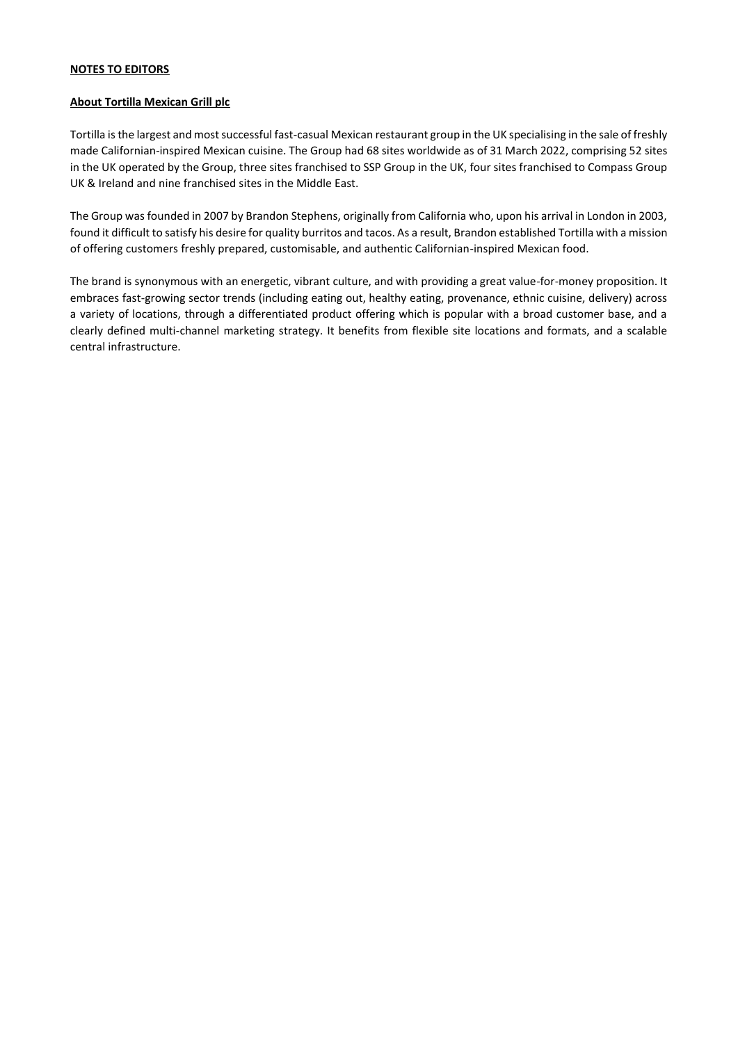# **NOTES TO EDITORS**

### **About Tortilla Mexican Grill plc**

Tortilla is the largest and most successful fast-casual Mexican restaurant group in the UK specialising in the sale of freshly made Californian-inspired Mexican cuisine. The Group had 68 sites worldwide as of 31 March 2022, comprising 52 sites in the UK operated by the Group, three sites franchised to SSP Group in the UK, four sites franchised to Compass Group UK & Ireland and nine franchised sites in the Middle East.

The Group was founded in 2007 by Brandon Stephens, originally from California who, upon his arrival in London in 2003, found it difficult to satisfy his desire for quality burritos and tacos. As a result, Brandon established Tortilla with a mission of offering customers freshly prepared, customisable, and authentic Californian-inspired Mexican food.

The brand is synonymous with an energetic, vibrant culture, and with providing a great value-for-money proposition. It embraces fast-growing sector trends (including eating out, healthy eating, provenance, ethnic cuisine, delivery) across a variety of locations, through a differentiated product offering which is popular with a broad customer base, and a clearly defined multi-channel marketing strategy. It benefits from flexible site locations and formats, and a scalable central infrastructure.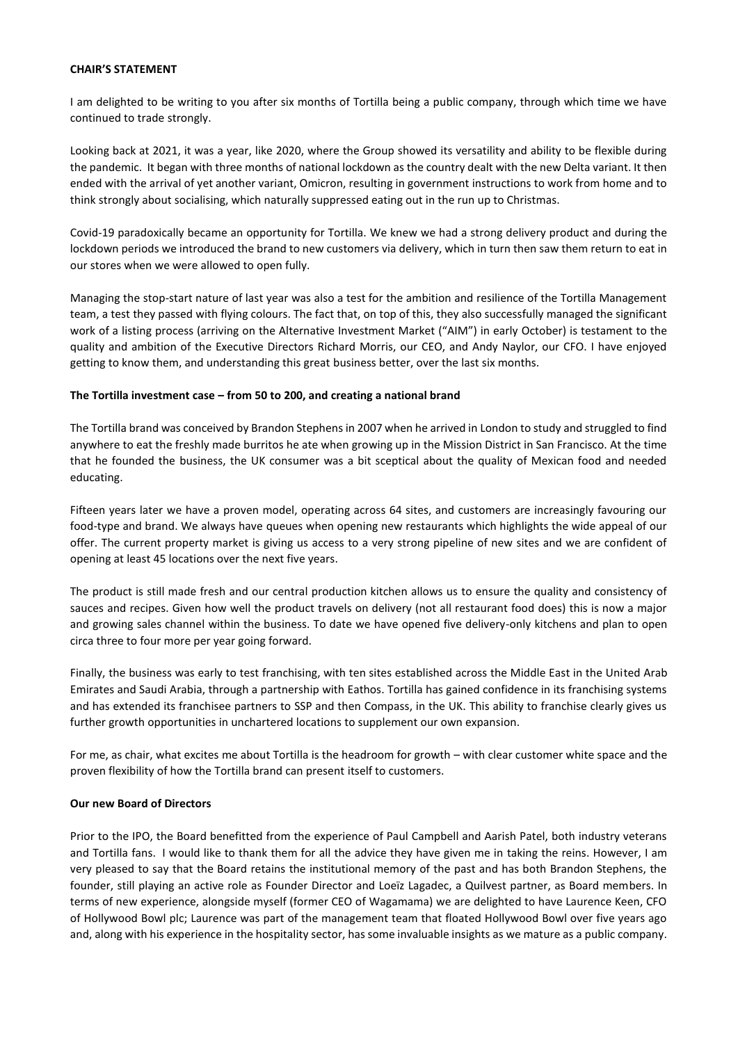#### **CHAIR'S STATEMENT**

I am delighted to be writing to you after six months of Tortilla being a public company, through which time we have continued to trade strongly.

Looking back at 2021, it was a year, like 2020, where the Group showed its versatility and ability to be flexible during the pandemic. It began with three months of national lockdown as the country dealt with the new Delta variant. It then ended with the arrival of yet another variant, Omicron, resulting in government instructions to work from home and to think strongly about socialising, which naturally suppressed eating out in the run up to Christmas.

Covid-19 paradoxically became an opportunity for Tortilla. We knew we had a strong delivery product and during the lockdown periods we introduced the brand to new customers via delivery, which in turn then saw them return to eat in our stores when we were allowed to open fully.

Managing the stop-start nature of last year was also a test for the ambition and resilience of the Tortilla Management team, a test they passed with flying colours. The fact that, on top of this, they also successfully managed the significant work of a listing process (arriving on the Alternative Investment Market ("AIM") in early October) is testament to the quality and ambition of the Executive Directors Richard Morris, our CEO, and Andy Naylor, our CFO. I have enjoyed getting to know them, and understanding this great business better, over the last six months.

### **The Tortilla investment case – from 50 to 200, and creating a national brand**

The Tortilla brand was conceived by Brandon Stephens in 2007 when he arrived in London to study and struggled to find anywhere to eat the freshly made burritos he ate when growing up in the Mission District in San Francisco. At the time that he founded the business, the UK consumer was a bit sceptical about the quality of Mexican food and needed educating.

Fifteen years later we have a proven model, operating across 64 sites, and customers are increasingly favouring our food-type and brand. We always have queues when opening new restaurants which highlights the wide appeal of our offer. The current property market is giving us access to a very strong pipeline of new sites and we are confident of opening at least 45 locations over the next five years.

The product is still made fresh and our central production kitchen allows us to ensure the quality and consistency of sauces and recipes. Given how well the product travels on delivery (not all restaurant food does) this is now a major and growing sales channel within the business. To date we have opened five delivery-only kitchens and plan to open circa three to four more per year going forward.

Finally, the business was early to test franchising, with ten sites established across the Middle East in the United Arab Emirates and Saudi Arabia, through a partnership with Eathos. Tortilla has gained confidence in its franchising systems and has extended its franchisee partners to SSP and then Compass, in the UK. This ability to franchise clearly gives us further growth opportunities in unchartered locations to supplement our own expansion.

For me, as chair, what excites me about Tortilla is the headroom for growth – with clear customer white space and the proven flexibility of how the Tortilla brand can present itself to customers.

# **Our new Board of Directors**

Prior to the IPO, the Board benefitted from the experience of Paul Campbell and Aarish Patel, both industry veterans and Tortilla fans. I would like to thank them for all the advice they have given me in taking the reins. However, I am very pleased to say that the Board retains the institutional memory of the past and has both Brandon Stephens, the founder, still playing an active role as Founder Director and Loeïz Lagadec, a Quilvest partner, as Board members. In terms of new experience, alongside myself (former CEO of Wagamama) we are delighted to have Laurence Keen, CFO of Hollywood Bowl plc; Laurence was part of the management team that floated Hollywood Bowl over five years ago and, along with his experience in the hospitality sector, has some invaluable insights as we mature as a public company.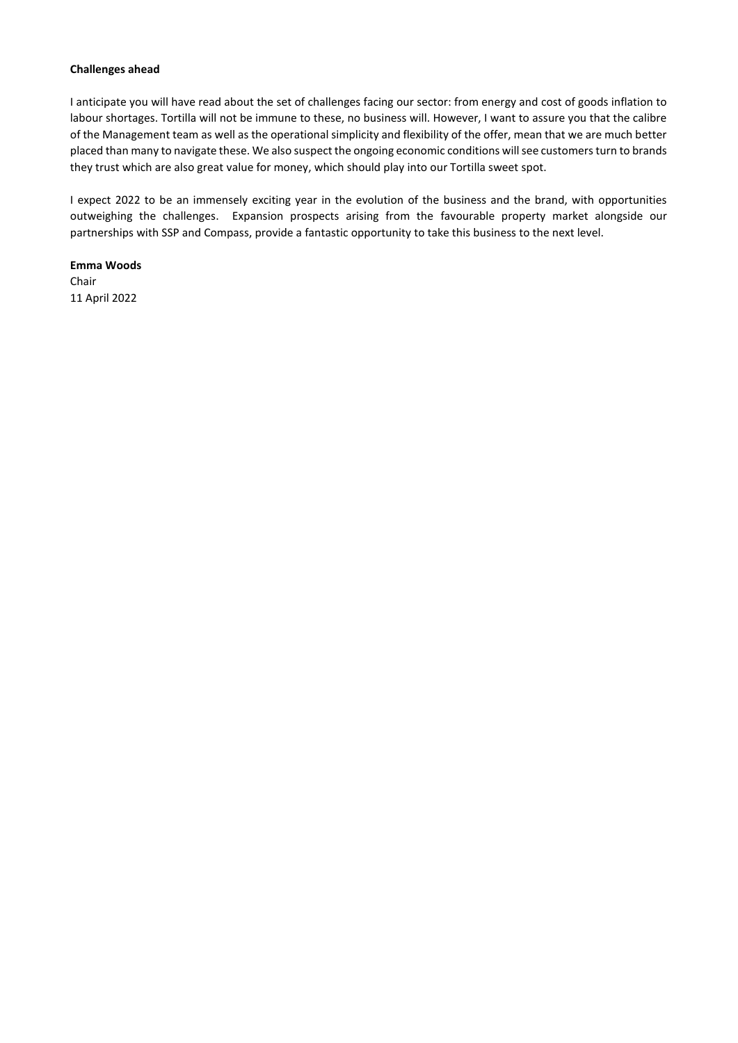#### **Challenges ahead**

I anticipate you will have read about the set of challenges facing our sector: from energy and cost of goods inflation to labour shortages. Tortilla will not be immune to these, no business will. However, I want to assure you that the calibre of the Management team as well as the operational simplicity and flexibility of the offer, mean that we are much better placed than many to navigate these. We also suspect the ongoing economic conditions will see customers turn to brands they trust which are also great value for money, which should play into our Tortilla sweet spot.

I expect 2022 to be an immensely exciting year in the evolution of the business and the brand, with opportunities outweighing the challenges. Expansion prospects arising from the favourable property market alongside our partnerships with SSP and Compass, provide a fantastic opportunity to take this business to the next level.

**Emma Woods** Chair 11 April 2022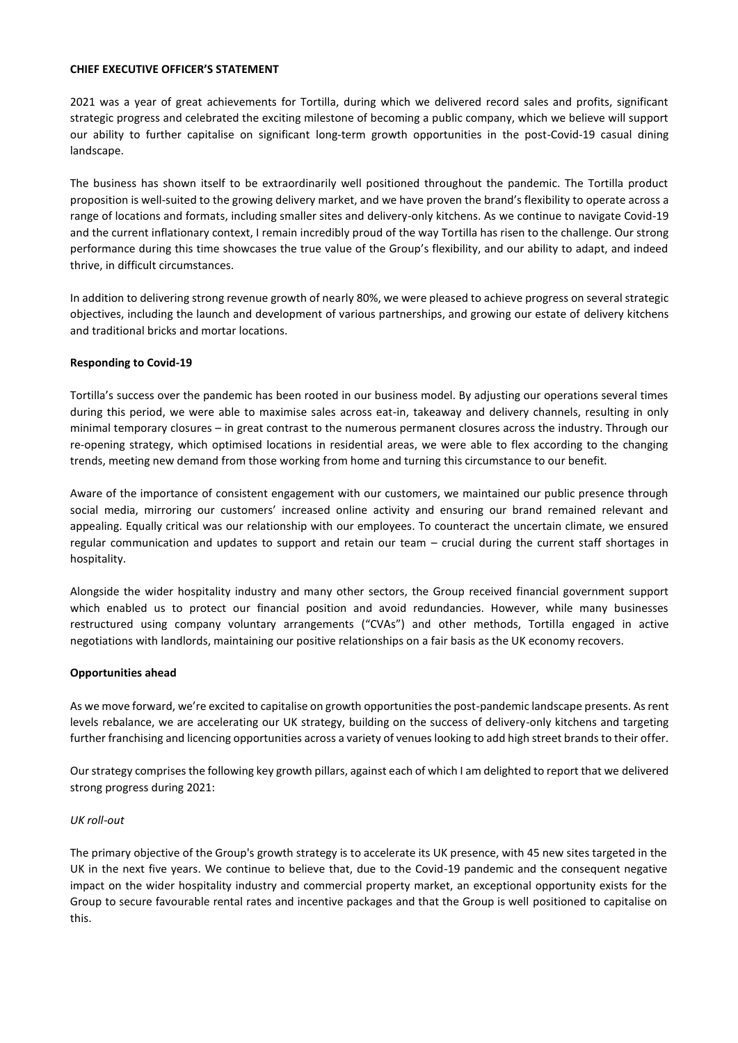### **CHIEF EXECUTIVE OFFICER'S STATEMENT**

2021 was a year of great achievements for Tortilla, during which we delivered record sales and profits, significant strategic progress and celebrated the exciting milestone of becoming a public company, which we believe will support our ability to further capitalise on significant long-term growth opportunities in the post-Covid-19 casual dining landscape.

The business has shown itself to be extraordinarily well positioned throughout the pandemic. The Tortilla product proposition is well-suited to the growing delivery market, and we have proven the brand's flexibility to operate across a range of locations and formats, including smaller sites and delivery-only kitchens. As we continue to navigate Covid-19 and the current inflationary context, I remain incredibly proud of the way Tortilla has risen to the challenge. Our strong performance during this time showcases the true value of the Group's flexibility, and our ability to adapt, and indeed thrive, in difficult circumstances.

In addition to delivering strong revenue growth of nearly 80%, we were pleased to achieve progress on several strategic objectives, including the launch and development of various partnerships, and growing our estate of delivery kitchens and traditional bricks and mortar locations.

# **Responding to Covid-19**

Tortilla's success over the pandemic has been rooted in our business model. By adjusting our operations several times during this period, we were able to maximise sales across eat-in, takeaway and delivery channels, resulting in only minimal temporary closures – in great contrast to the numerous permanent closures across the industry. Through our re-opening strategy, which optimised locations in residential areas, we were able to flex according to the changing trends, meeting new demand from those working from home and turning this circumstance to our benefit.

Aware of the importance of consistent engagement with our customers, we maintained our public presence through social media, mirroring our customers' increased online activity and ensuring our brand remained relevant and appealing. Equally critical was our relationship with our employees. To counteract the uncertain climate, we ensured regular communication and updates to support and retain our team – crucial during the current staff shortages in hospitality.

Alongside the wider hospitality industry and many other sectors, the Group received financial government support which enabled us to protect our financial position and avoid redundancies. However, while many businesses restructured using company voluntary arrangements ("CVAs") and other methods, Tortilla engaged in active negotiations with landlords, maintaining our positive relationships on a fair basis as the UK economy recovers.

# **Opportunities ahead**

As we move forward, we're excited to capitalise on growth opportunities the post-pandemic landscape presents. As rent levels rebalance, we are accelerating our UK strategy, building on the success of delivery-only kitchens and targeting further franchising and licencing opportunities across a variety of venues looking to add high street brands to their offer.

Our strategy comprises the following key growth pillars, against each of which I am delighted to report that we delivered strong progress during 2021:

# *UK roll-out*

The primary objective of the Group's growth strategy is to accelerate its UK presence, with 45 new sites targeted in the UK in the next five years. We continue to believe that, due to the Covid-19 pandemic and the consequent negative impact on the wider hospitality industry and commercial property market, an exceptional opportunity exists for the Group to secure favourable rental rates and incentive packages and that the Group is well positioned to capitalise on this.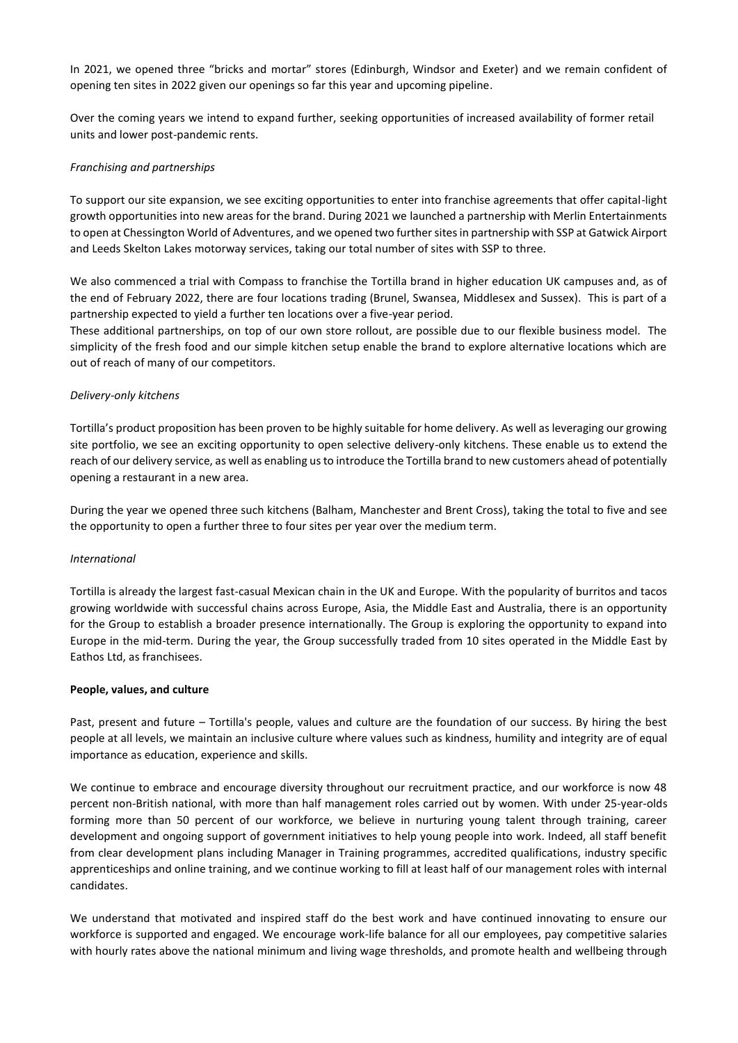In 2021, we opened three "bricks and mortar" stores (Edinburgh, Windsor and Exeter) and we remain confident of opening ten sites in 2022 given our openings so far this year and upcoming pipeline.

Over the coming years we intend to expand further, seeking opportunities of increased availability of former retail units and lower post-pandemic rents.

### *Franchising and partnerships*

To support our site expansion, we see exciting opportunities to enter into franchise agreements that offer capital-light growth opportunities into new areas for the brand. During 2021 we launched a partnership with Merlin Entertainments to open at Chessington World of Adventures, and we opened two further sites in partnership with SSP at Gatwick Airport and Leeds Skelton Lakes motorway services, taking our total number of sites with SSP to three.

We also commenced a trial with Compass to franchise the Tortilla brand in higher education UK campuses and, as of the end of February 2022, there are four locations trading (Brunel, Swansea, Middlesex and Sussex). This is part of a partnership expected to yield a further ten locations over a five-year period.

These additional partnerships, on top of our own store rollout, are possible due to our flexible business model. The simplicity of the fresh food and our simple kitchen setup enable the brand to explore alternative locations which are out of reach of many of our competitors.

#### *Delivery-only kitchens*

Tortilla's product proposition has been proven to be highly suitable for home delivery. As well as leveraging our growing site portfolio, we see an exciting opportunity to open selective delivery-only kitchens. These enable us to extend the reach of our delivery service, as well as enabling us to introduce the Tortilla brand to new customers ahead of potentially opening a restaurant in a new area.

During the year we opened three such kitchens (Balham, Manchester and Brent Cross), taking the total to five and see the opportunity to open a further three to four sites per year over the medium term.

# *International*

Tortilla is already the largest fast-casual Mexican chain in the UK and Europe. With the popularity of burritos and tacos growing worldwide with successful chains across Europe, Asia, the Middle East and Australia, there is an opportunity for the Group to establish a broader presence internationally. The Group is exploring the opportunity to expand into Europe in the mid-term. During the year, the Group successfully traded from 10 sites operated in the Middle East by Eathos Ltd, as franchisees.

#### **People, values, and culture**

Past, present and future – Tortilla's people, values and culture are the foundation of our success. By hiring the best people at all levels, we maintain an inclusive culture where values such as kindness, humility and integrity are of equal importance as education, experience and skills.

We continue to embrace and encourage diversity throughout our recruitment practice, and our workforce is now 48 percent non-British national, with more than half management roles carried out by women. With under 25-year-olds forming more than 50 percent of our workforce, we believe in nurturing young talent through training, career development and ongoing support of government initiatives to help young people into work. Indeed, all staff benefit from clear development plans including Manager in Training programmes, accredited qualifications, industry specific apprenticeships and online training, and we continue working to fill at least half of our management roles with internal candidates.

We understand that motivated and inspired staff do the best work and have continued innovating to ensure our workforce is supported and engaged. We encourage work-life balance for all our employees, pay competitive salaries with hourly rates above the national minimum and living wage thresholds, and promote health and wellbeing through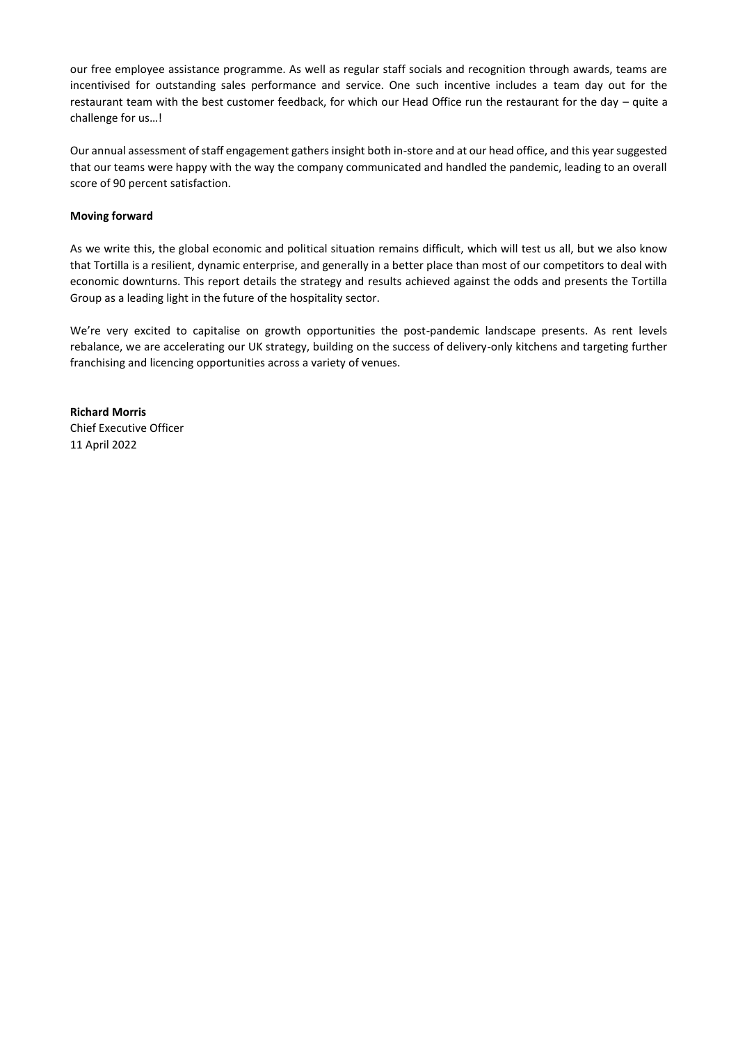our free employee assistance programme. As well as regular staff socials and recognition through awards, teams are incentivised for outstanding sales performance and service. One such incentive includes a team day out for the restaurant team with the best customer feedback, for which our Head Office run the restaurant for the day – quite a challenge for us…!

Our annual assessment of staff engagement gathers insight both in-store and at our head office, and this year suggested that our teams were happy with the way the company communicated and handled the pandemic, leading to an overall score of 90 percent satisfaction.

# **Moving forward**

As we write this, the global economic and political situation remains difficult, which will test us all, but we also know that Tortilla is a resilient, dynamic enterprise, and generally in a better place than most of our competitors to deal with economic downturns. This report details the strategy and results achieved against the odds and presents the Tortilla Group as a leading light in the future of the hospitality sector.

We're very excited to capitalise on growth opportunities the post-pandemic landscape presents. As rent levels rebalance, we are accelerating our UK strategy, building on the success of delivery-only kitchens and targeting further franchising and licencing opportunities across a variety of venues.

**Richard Morris** Chief Executive Officer 11 April 2022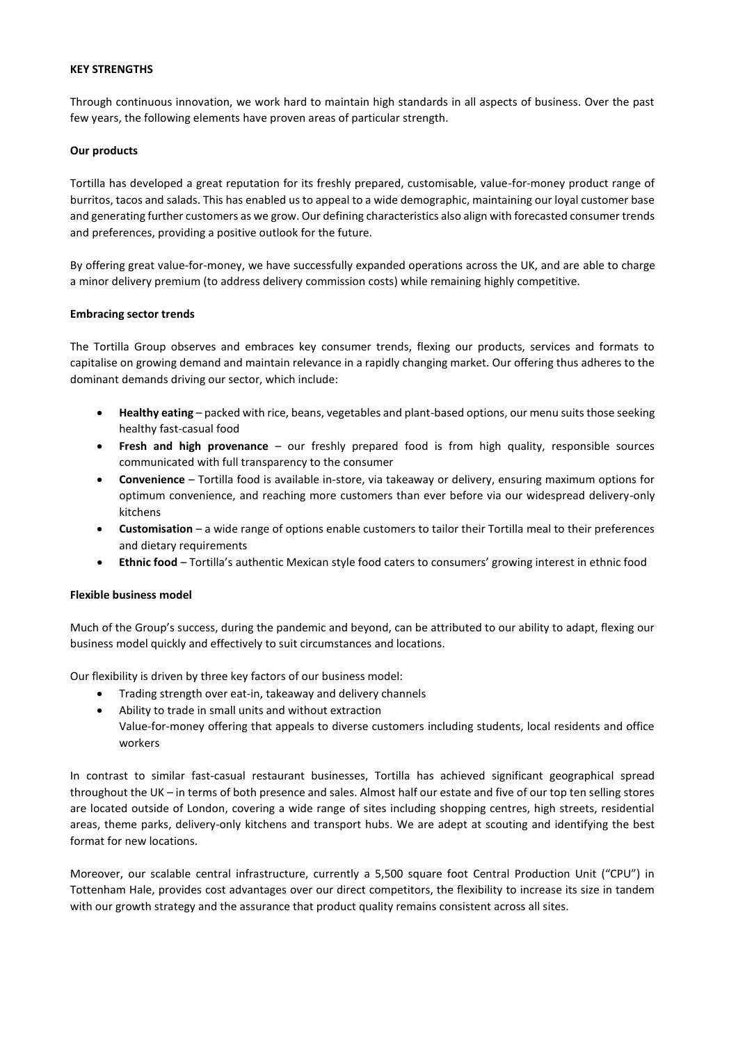### **KEY STRENGTHS**

Through continuous innovation, we work hard to maintain high standards in all aspects of business. Over the past few years, the following elements have proven areas of particular strength.

### **Our products**

Tortilla has developed a great reputation for its freshly prepared, customisable, value-for-money product range of burritos, tacos and salads. This has enabled us to appeal to a wide demographic, maintaining our loyal customer base and generating further customers as we grow. Our defining characteristics also align with forecasted consumer trends and preferences, providing a positive outlook for the future.

By offering great value-for-money, we have successfully expanded operations across the UK, and are able to charge a minor delivery premium (to address delivery commission costs) while remaining highly competitive.

# **Embracing sector trends**

The Tortilla Group observes and embraces key consumer trends, flexing our products, services and formats to capitalise on growing demand and maintain relevance in a rapidly changing market. Our offering thus adheres to the dominant demands driving our sector, which include:

- **Healthy eating** packed with rice, beans, vegetables and plant-based options, our menu suits those seeking healthy fast-casual food
- **Fresh and high provenance** our freshly prepared food is from high quality, responsible sources communicated with full transparency to the consumer
- **Convenience**  Tortilla food is available in-store, via takeaway or delivery, ensuring maximum options for optimum convenience, and reaching more customers than ever before via our widespread delivery-only kitchens
- **Customisation** a wide range of options enable customers to tailor their Tortilla meal to their preferences and dietary requirements
- **Ethnic food** Tortilla's authentic Mexican style food caters to consumers' growing interest in ethnic food

# **Flexible business model**

Much of the Group's success, during the pandemic and beyond, can be attributed to our ability to adapt, flexing our business model quickly and effectively to suit circumstances and locations.

Our flexibility is driven by three key factors of our business model:

- Trading strength over eat-in, takeaway and delivery channels
- Ability to trade in small units and without extraction
- Value-for-money offering that appeals to diverse customers including students, local residents and office workers

In contrast to similar fast-casual restaurant businesses, Tortilla has achieved significant geographical spread throughout the UK – in terms of both presence and sales. Almost half our estate and five of our top ten selling stores are located outside of London, covering a wide range of sites including shopping centres, high streets, residential areas, theme parks, delivery-only kitchens and transport hubs. We are adept at scouting and identifying the best format for new locations.

Moreover, our scalable central infrastructure, currently a 5,500 square foot Central Production Unit ("CPU") in Tottenham Hale, provides cost advantages over our direct competitors, the flexibility to increase its size in tandem with our growth strategy and the assurance that product quality remains consistent across all sites.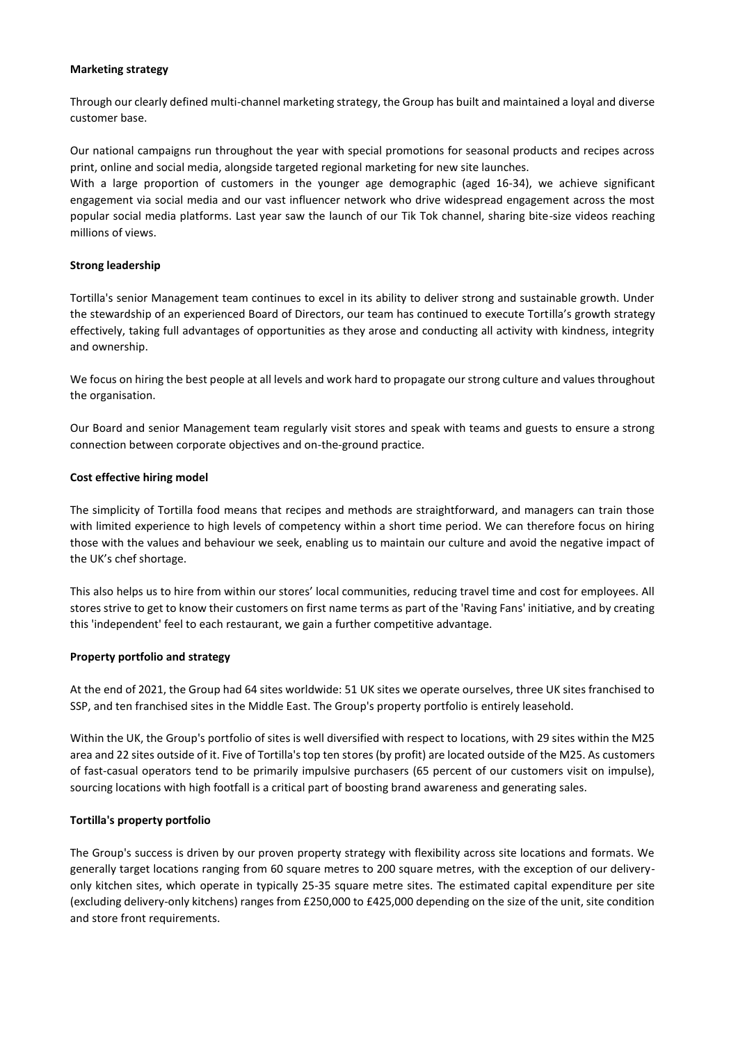#### **Marketing strategy**

Through our clearly defined multi-channel marketing strategy, the Group has built and maintained a loyal and diverse customer base.

Our national campaigns run throughout the year with special promotions for seasonal products and recipes across print, online and social media, alongside targeted regional marketing for new site launches.

With a large proportion of customers in the younger age demographic (aged 16-34), we achieve significant engagement via social media and our vast influencer network who drive widespread engagement across the most popular social media platforms. Last year saw the launch of our Tik Tok channel, sharing bite-size videos reaching millions of views.

# **Strong leadership**

Tortilla's senior Management team continues to excel in its ability to deliver strong and sustainable growth. Under the stewardship of an experienced Board of Directors, our team has continued to execute Tortilla's growth strategy effectively, taking full advantages of opportunities as they arose and conducting all activity with kindness, integrity and ownership.

We focus on hiring the best people at all levels and work hard to propagate our strong culture and values throughout the organisation.

Our Board and senior Management team regularly visit stores and speak with teams and guests to ensure a strong connection between corporate objectives and on-the-ground practice.

# **Cost effective hiring model**

The simplicity of Tortilla food means that recipes and methods are straightforward, and managers can train those with limited experience to high levels of competency within a short time period. We can therefore focus on hiring those with the values and behaviour we seek, enabling us to maintain our culture and avoid the negative impact of the UK's chef shortage.

This also helps us to hire from within our stores' local communities, reducing travel time and cost for employees. All stores strive to get to know their customers on first name terms as part of the 'Raving Fans' initiative, and by creating this 'independent' feel to each restaurant, we gain a further competitive advantage.

# **Property portfolio and strategy**

At the end of 2021, the Group had 64 sites worldwide: 51 UK sites we operate ourselves, three UK sites franchised to SSP, and ten franchised sites in the Middle East. The Group's property portfolio is entirely leasehold.

Within the UK, the Group's portfolio of sites is well diversified with respect to locations, with 29 sites within the M25 area and 22 sites outside of it. Five of Tortilla's top ten stores (by profit) are located outside of the M25. As customers of fast-casual operators tend to be primarily impulsive purchasers (65 percent of our customers visit on impulse), sourcing locations with high footfall is a critical part of boosting brand awareness and generating sales.

# **Tortilla's property portfolio**

The Group's success is driven by our proven property strategy with flexibility across site locations and formats. We generally target locations ranging from 60 square metres to 200 square metres, with the exception of our deliveryonly kitchen sites, which operate in typically 25-35 square metre sites. The estimated capital expenditure per site (excluding delivery-only kitchens) ranges from £250,000 to £425,000 depending on the size of the unit, site condition and store front requirements.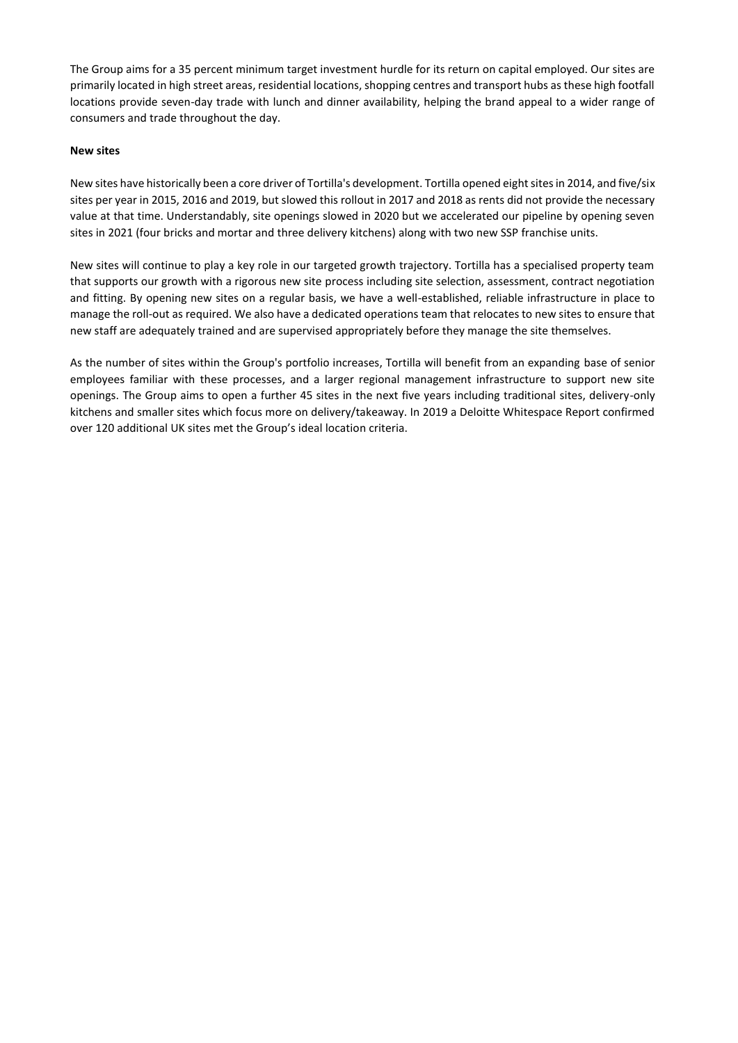The Group aims for a 35 percent minimum target investment hurdle for its return on capital employed. Our sites are primarily located in high street areas, residential locations, shopping centres and transport hubs as these high footfall locations provide seven-day trade with lunch and dinner availability, helping the brand appeal to a wider range of consumers and trade throughout the day.

### **New sites**

New sites have historically been a core driver of Tortilla's development. Tortilla opened eight sites in 2014, and five/six sites per year in 2015, 2016 and 2019, but slowed this rollout in 2017 and 2018 as rents did not provide the necessary value at that time. Understandably, site openings slowed in 2020 but we accelerated our pipeline by opening seven sites in 2021 (four bricks and mortar and three delivery kitchens) along with two new SSP franchise units.

New sites will continue to play a key role in our targeted growth trajectory. Tortilla has a specialised property team that supports our growth with a rigorous new site process including site selection, assessment, contract negotiation and fitting. By opening new sites on a regular basis, we have a well-established, reliable infrastructure in place to manage the roll-out as required. We also have a dedicated operations team that relocates to new sites to ensure that new staff are adequately trained and are supervised appropriately before they manage the site themselves.

As the number of sites within the Group's portfolio increases, Tortilla will benefit from an expanding base of senior employees familiar with these processes, and a larger regional management infrastructure to support new site openings. The Group aims to open a further 45 sites in the next five years including traditional sites, delivery-only kitchens and smaller sites which focus more on delivery/takeaway. In 2019 a Deloitte Whitespace Report confirmed over 120 additional UK sites met the Group's ideal location criteria.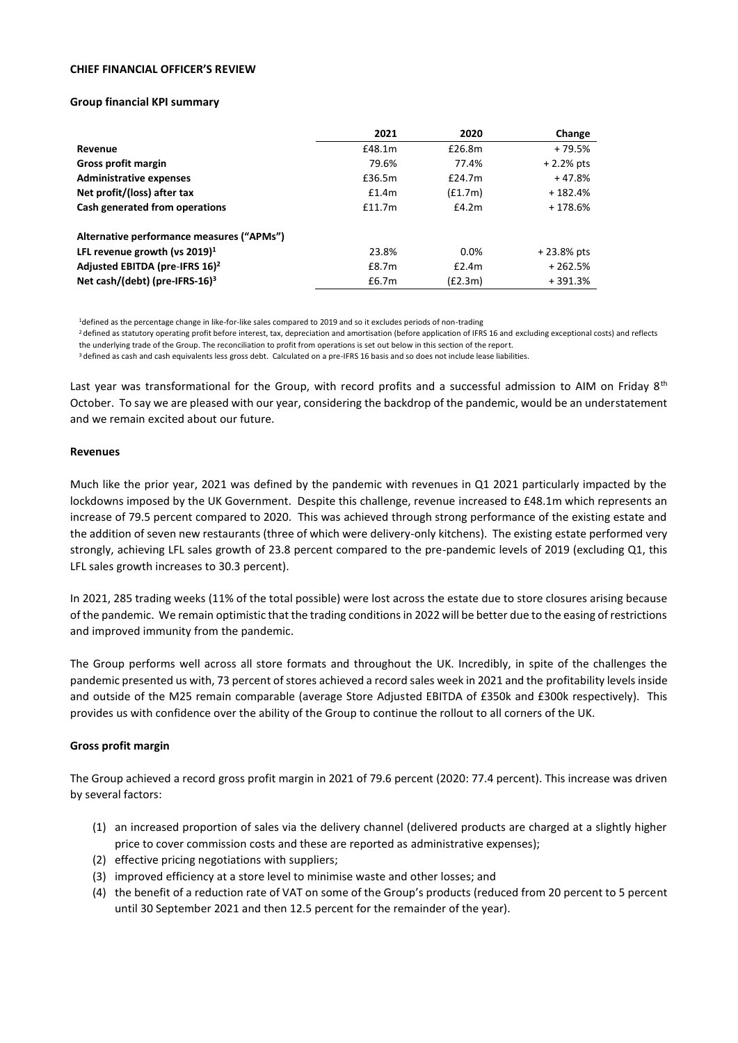#### **CHIEF FINANCIAL OFFICER'S REVIEW**

#### **Group financial KPI summary**

|                                              | 2021   | 2020    | Change       |
|----------------------------------------------|--------|---------|--------------|
| Revenue                                      | £48.1m | £26.8m  | + 79.5%      |
| Gross profit margin                          | 79.6%  | 77.4%   | $+2.2%$ pts  |
| <b>Administrative expenses</b>               | £36.5m | £24.7m  | $+47.8%$     |
| Net profit/(loss) after tax                  | £1.4m  | (f1.7m) | $+182.4%$    |
| Cash generated from operations               | £11.7m | £4.2m   | $+178.6%$    |
| Alternative performance measures ("APMs")    |        |         |              |
| LFL revenue growth (vs $2019$ ) <sup>1</sup> | 23.8%  | 0.0%    | $+23.8%$ pts |
| Adjusted EBITDA (pre-IFRS 16) <sup>2</sup>   | £8.7m  | £2.4m   | $+262.5%$    |
| Net cash/(debt) (pre-IFRS-16) $3$            | £6.7m  | (E2.3m) | $+391.3%$    |

<sup>1</sup>defined as the percentage change in like-for-like sales compared to 2019 and so it excludes periods of non-trading

<sup>2</sup> defined as statutory operating profit before interest, tax, depreciation and amortisation (before application of IFRS 16 and excluding exceptional costs) and reflects the underlying trade of the Group. The reconciliation to profit from operations is set out below in this section of the report.

<sup>3</sup> defined as cash and cash equivalents less gross debt. Calculated on a pre-IFRS 16 basis and so does not include lease liabilities.

Last year was transformational for the Group, with record profits and a successful admission to AIM on Friday 8<sup>th</sup> October. To say we are pleased with our year, considering the backdrop of the pandemic, would be an understatement and we remain excited about our future.

#### **Revenues**

Much like the prior year, 2021 was defined by the pandemic with revenues in Q1 2021 particularly impacted by the lockdowns imposed by the UK Government. Despite this challenge, revenue increased to £48.1m which represents an increase of 79.5 percent compared to 2020. This was achieved through strong performance of the existing estate and the addition of seven new restaurants (three of which were delivery-only kitchens). The existing estate performed very strongly, achieving LFL sales growth of 23.8 percent compared to the pre-pandemic levels of 2019 (excluding Q1, this LFL sales growth increases to 30.3 percent).

In 2021, 285 trading weeks (11% of the total possible) were lost across the estate due to store closures arising because of the pandemic. We remain optimistic that the trading conditions in 2022 will be better due to the easing of restrictions and improved immunity from the pandemic.

The Group performs well across all store formats and throughout the UK. Incredibly, in spite of the challenges the pandemic presented us with, 73 percent of stores achieved a record sales week in 2021 and the profitability levels inside and outside of the M25 remain comparable (average Store Adjusted EBITDA of £350k and £300k respectively). This provides us with confidence over the ability of the Group to continue the rollout to all corners of the UK.

# **Gross profit margin**

The Group achieved a record gross profit margin in 2021 of 79.6 percent (2020: 77.4 percent). This increase was driven by several factors:

- (1) an increased proportion of sales via the delivery channel (delivered products are charged at a slightly higher price to cover commission costs and these are reported as administrative expenses);
- (2) effective pricing negotiations with suppliers;
- (3) improved efficiency at a store level to minimise waste and other losses; and
- (4) the benefit of a reduction rate of VAT on some of the Group's products (reduced from 20 percent to 5 percent until 30 September 2021 and then 12.5 percent for the remainder of the year).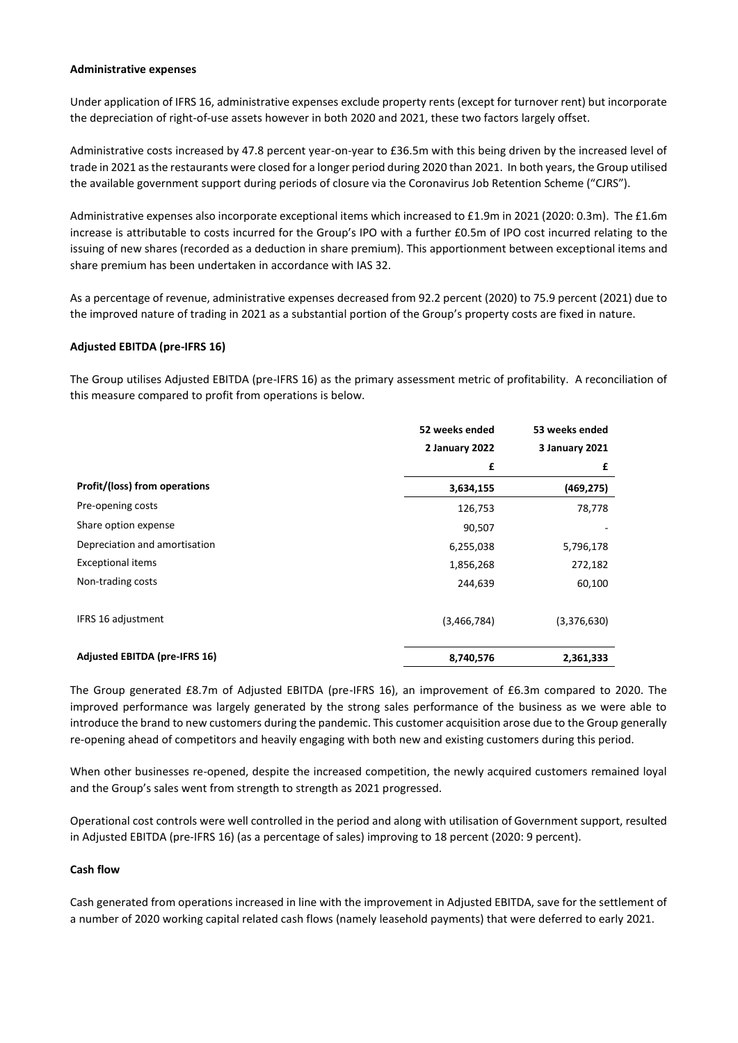#### **Administrative expenses**

Under application of IFRS 16, administrative expenses exclude property rents (except for turnover rent) but incorporate the depreciation of right-of-use assets however in both 2020 and 2021, these two factors largely offset.

Administrative costs increased by 47.8 percent year-on-year to £36.5m with this being driven by the increased level of trade in 2021 as the restaurants were closed for a longer period during 2020 than 2021. In both years, the Group utilised the available government support during periods of closure via the Coronavirus Job Retention Scheme ("CJRS").

Administrative expenses also incorporate exceptional items which increased to £1.9m in 2021 (2020: 0.3m). The £1.6m increase is attributable to costs incurred for the Group's IPO with a further £0.5m of IPO cost incurred relating to the issuing of new shares (recorded as a deduction in share premium). This apportionment between exceptional items and share premium has been undertaken in accordance with IAS 32.

As a percentage of revenue, administrative expenses decreased from 92.2 percent (2020) to 75.9 percent (2021) due to the improved nature of trading in 2021 as a substantial portion of the Group's property costs are fixed in nature.

# **Adjusted EBITDA (pre-IFRS 16)**

The Group utilises Adjusted EBITDA (pre-IFRS 16) as the primary assessment metric of profitability. A reconciliation of this measure compared to profit from operations is below.

|                                      | 52 weeks ended | 53 weeks ended |  |
|--------------------------------------|----------------|----------------|--|
|                                      | 2 January 2022 | 3 January 2021 |  |
|                                      | £              | £              |  |
| Profit/(loss) from operations        | 3,634,155      | (469, 275)     |  |
| Pre-opening costs                    | 126,753        | 78,778         |  |
| Share option expense                 | 90,507         |                |  |
| Depreciation and amortisation        | 6,255,038      | 5,796,178      |  |
| <b>Exceptional items</b>             | 1,856,268      | 272,182        |  |
| Non-trading costs                    | 244,639        | 60,100         |  |
| IFRS 16 adjustment                   | (3,466,784)    | (3,376,630)    |  |
| <b>Adjusted EBITDA (pre-IFRS 16)</b> | 8,740,576      | 2,361,333      |  |

The Group generated £8.7m of Adjusted EBITDA (pre-IFRS 16), an improvement of £6.3m compared to 2020. The improved performance was largely generated by the strong sales performance of the business as we were able to introduce the brand to new customers during the pandemic. This customer acquisition arose due to the Group generally re-opening ahead of competitors and heavily engaging with both new and existing customers during this period.

When other businesses re-opened, despite the increased competition, the newly acquired customers remained loyal and the Group's sales went from strength to strength as 2021 progressed.

Operational cost controls were well controlled in the period and along with utilisation of Government support, resulted in Adjusted EBITDA (pre-IFRS 16) (as a percentage of sales) improving to 18 percent (2020: 9 percent).

# **Cash flow**

Cash generated from operations increased in line with the improvement in Adjusted EBITDA, save for the settlement of a number of 2020 working capital related cash flows (namely leasehold payments) that were deferred to early 2021.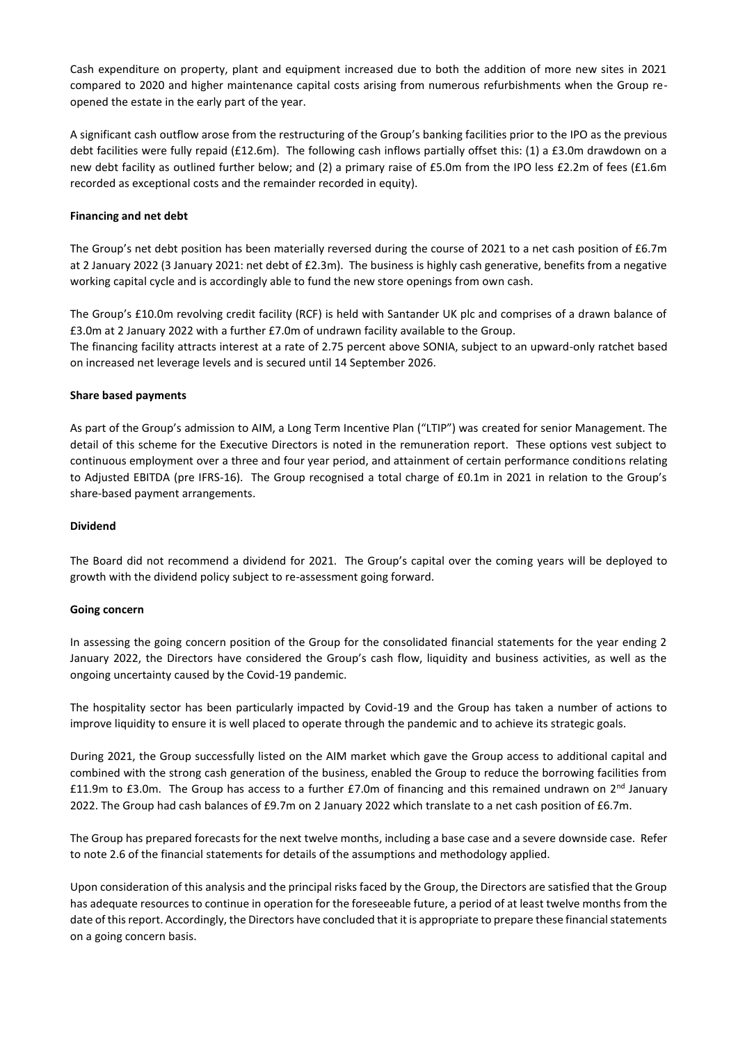Cash expenditure on property, plant and equipment increased due to both the addition of more new sites in 2021 compared to 2020 and higher maintenance capital costs arising from numerous refurbishments when the Group reopened the estate in the early part of the year.

A significant cash outflow arose from the restructuring of the Group's banking facilities prior to the IPO as the previous debt facilities were fully repaid (£12.6m). The following cash inflows partially offset this: (1) a £3.0m drawdown on a new debt facility as outlined further below; and (2) a primary raise of £5.0m from the IPO less £2.2m of fees (£1.6m recorded as exceptional costs and the remainder recorded in equity).

### **Financing and net debt**

The Group's net debt position has been materially reversed during the course of 2021 to a net cash position of £6.7m at 2 January 2022 (3 January 2021: net debt of £2.3m). The business is highly cash generative, benefits from a negative working capital cycle and is accordingly able to fund the new store openings from own cash.

The Group's £10.0m revolving credit facility (RCF) is held with Santander UK plc and comprises of a drawn balance of £3.0m at 2 January 2022 with a further £7.0m of undrawn facility available to the Group.

The financing facility attracts interest at a rate of 2.75 percent above SONIA, subject to an upward-only ratchet based on increased net leverage levels and is secured until 14 September 2026.

### **Share based payments**

As part of the Group's admission to AIM, a Long Term Incentive Plan ("LTIP") was created for senior Management. The detail of this scheme for the Executive Directors is noted in the remuneration report. These options vest subject to continuous employment over a three and four year period, and attainment of certain performance conditions relating to Adjusted EBITDA (pre IFRS-16). The Group recognised a total charge of £0.1m in 2021 in relation to the Group's share-based payment arrangements.

# **Dividend**

The Board did not recommend a dividend for 2021. The Group's capital over the coming years will be deployed to growth with the dividend policy subject to re-assessment going forward.

#### **Going concern**

In assessing the going concern position of the Group for the consolidated financial statements for the year ending 2 January 2022, the Directors have considered the Group's cash flow, liquidity and business activities, as well as the ongoing uncertainty caused by the Covid-19 pandemic.

The hospitality sector has been particularly impacted by Covid-19 and the Group has taken a number of actions to improve liquidity to ensure it is well placed to operate through the pandemic and to achieve its strategic goals.

During 2021, the Group successfully listed on the AIM market which gave the Group access to additional capital and combined with the strong cash generation of the business, enabled the Group to reduce the borrowing facilities from £11.9m to £3.0m. The Group has access to a further £7.0m of financing and this remained undrawn on  $2^{nd}$  January 2022. The Group had cash balances of £9.7m on 2 January 2022 which translate to a net cash position of £6.7m.

The Group has prepared forecasts for the next twelve months, including a base case and a severe downside case. Refer to note 2.6 of the financial statements for details of the assumptions and methodology applied.

Upon consideration of this analysis and the principal risks faced by the Group, the Directors are satisfied that the Group has adequate resources to continue in operation for the foreseeable future, a period of at least twelve months from the date of this report. Accordingly, the Directors have concluded that it is appropriate to prepare these financial statements on a going concern basis.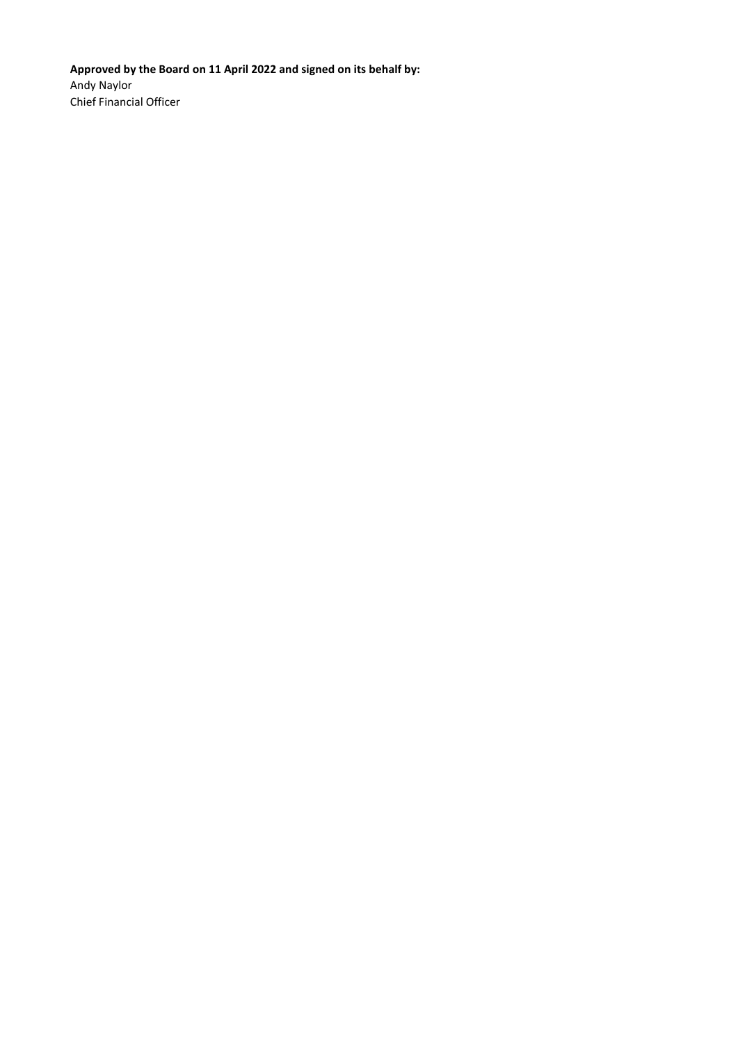**Approved by the Board on 11 April 2022 and signed on its behalf by:**  Andy Naylor Chief Financial Officer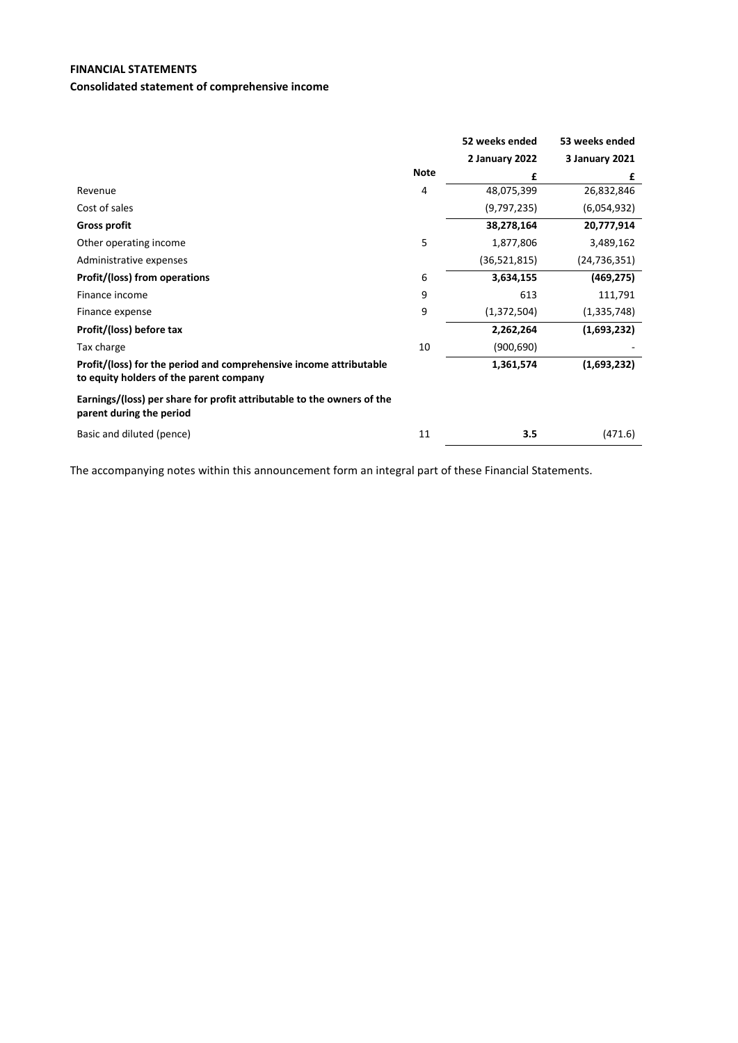# **FINANCIAL STATEMENTS**

# **Consolidated statement of comprehensive income**

|                                                                                                               |             | 52 weeks ended | 53 weeks ended |
|---------------------------------------------------------------------------------------------------------------|-------------|----------------|----------------|
|                                                                                                               |             | 2 January 2022 | 3 January 2021 |
|                                                                                                               | <b>Note</b> | £              | £              |
| Revenue                                                                                                       | 4           | 48,075,399     | 26,832,846     |
| Cost of sales                                                                                                 |             | (9,797,235)    | (6,054,932)    |
| <b>Gross profit</b>                                                                                           |             | 38,278,164     | 20,777,914     |
| Other operating income                                                                                        | 5           | 1,877,806      | 3,489,162      |
| Administrative expenses                                                                                       |             | (36,521,815)   | (24,736,351)   |
| Profit/(loss) from operations                                                                                 | 6           | 3,634,155      | (469, 275)     |
| Finance income                                                                                                | 9           | 613            | 111,791        |
| Finance expense                                                                                               | 9           | (1,372,504)    | (1,335,748)    |
| Profit/(loss) before tax                                                                                      |             | 2,262,264      | (1,693,232)    |
| Tax charge                                                                                                    | 10          | (900, 690)     |                |
| Profit/(loss) for the period and comprehensive income attributable<br>to equity holders of the parent company |             | 1,361,574      | (1,693,232)    |
| Earnings/(loss) per share for profit attributable to the owners of the<br>parent during the period            |             |                |                |
| Basic and diluted (pence)                                                                                     | 11          | 3.5            | (471.6)        |

The accompanying notes within this announcement form an integral part of these Financial Statements.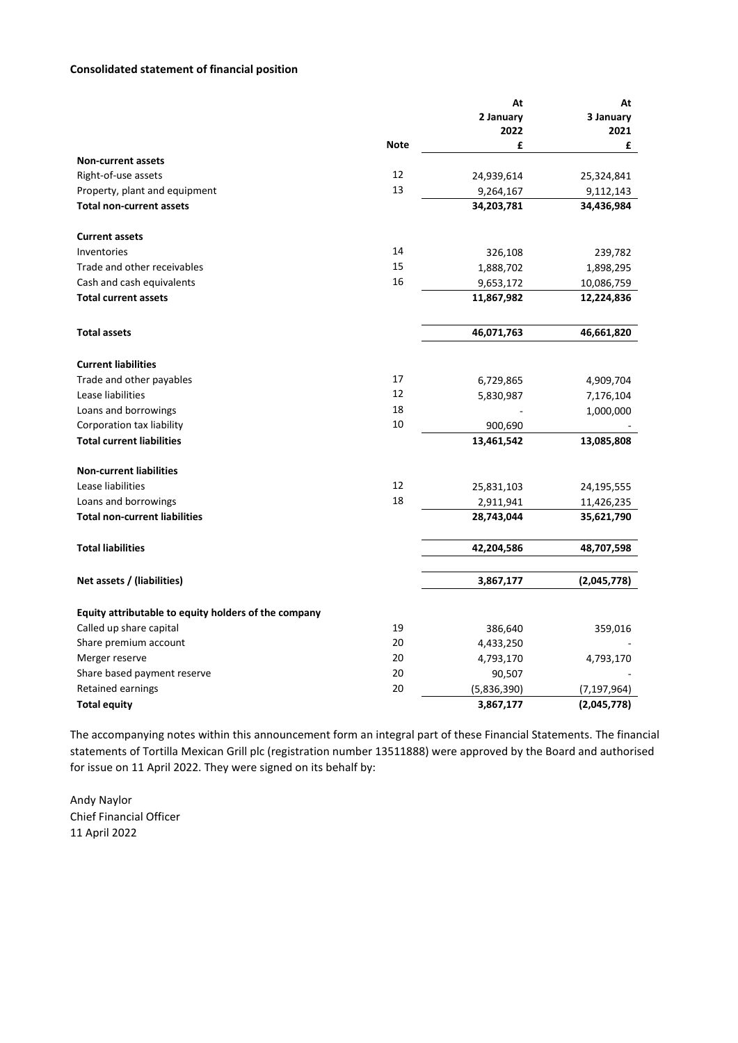### **Consolidated statement of financial position**

|                                                      |             | At          | At            |
|------------------------------------------------------|-------------|-------------|---------------|
|                                                      |             | 2 January   | 3 January     |
|                                                      |             | 2022        | 2021          |
|                                                      | <b>Note</b> | £           | £             |
| <b>Non-current assets</b>                            |             |             |               |
| Right-of-use assets                                  | 12          | 24,939,614  | 25,324,841    |
| Property, plant and equipment                        | 13          | 9,264,167   | 9,112,143     |
| <b>Total non-current assets</b>                      |             | 34,203,781  | 34,436,984    |
| <b>Current assets</b>                                |             |             |               |
| Inventories                                          | 14          | 326,108     | 239,782       |
| Trade and other receivables                          | 15          | 1,888,702   | 1,898,295     |
| Cash and cash equivalents                            | 16          | 9,653,172   | 10,086,759    |
| <b>Total current assets</b>                          |             | 11,867,982  | 12,224,836    |
| <b>Total assets</b>                                  |             | 46,071,763  | 46,661,820    |
| <b>Current liabilities</b>                           |             |             |               |
| Trade and other payables                             | 17          | 6,729,865   | 4,909,704     |
| Lease liabilities                                    | 12          | 5,830,987   | 7,176,104     |
| Loans and borrowings                                 | 18          |             | 1,000,000     |
| Corporation tax liability                            | 10          | 900,690     |               |
| <b>Total current liabilities</b>                     |             | 13,461,542  | 13,085,808    |
| <b>Non-current liabilities</b>                       |             |             |               |
| Lease liabilities                                    | 12          | 25,831,103  | 24,195,555    |
| Loans and borrowings                                 | 18          | 2,911,941   | 11,426,235    |
| <b>Total non-current liabilities</b>                 |             | 28,743,044  | 35,621,790    |
| <b>Total liabilities</b>                             |             | 42,204,586  | 48,707,598    |
| Net assets / (liabilities)                           |             | 3,867,177   | (2,045,778)   |
|                                                      |             |             |               |
| Equity attributable to equity holders of the company |             |             |               |
| Called up share capital                              | 19          | 386,640     | 359,016       |
| Share premium account                                | 20          | 4,433,250   |               |
| Merger reserve                                       | 20          | 4,793,170   | 4,793,170     |
| Share based payment reserve                          | 20          | 90,507      |               |
| Retained earnings                                    | 20          | (5,836,390) | (7, 197, 964) |
| <b>Total equity</b>                                  |             | 3,867,177   | (2,045,778)   |

The accompanying notes within this announcement form an integral part of these Financial Statements. The financial statements of Tortilla Mexican Grill plc (registration number 13511888) were approved by the Board and authorised for issue on 11 April 2022. They were signed on its behalf by:

Andy Naylor Chief Financial Officer 11 April 2022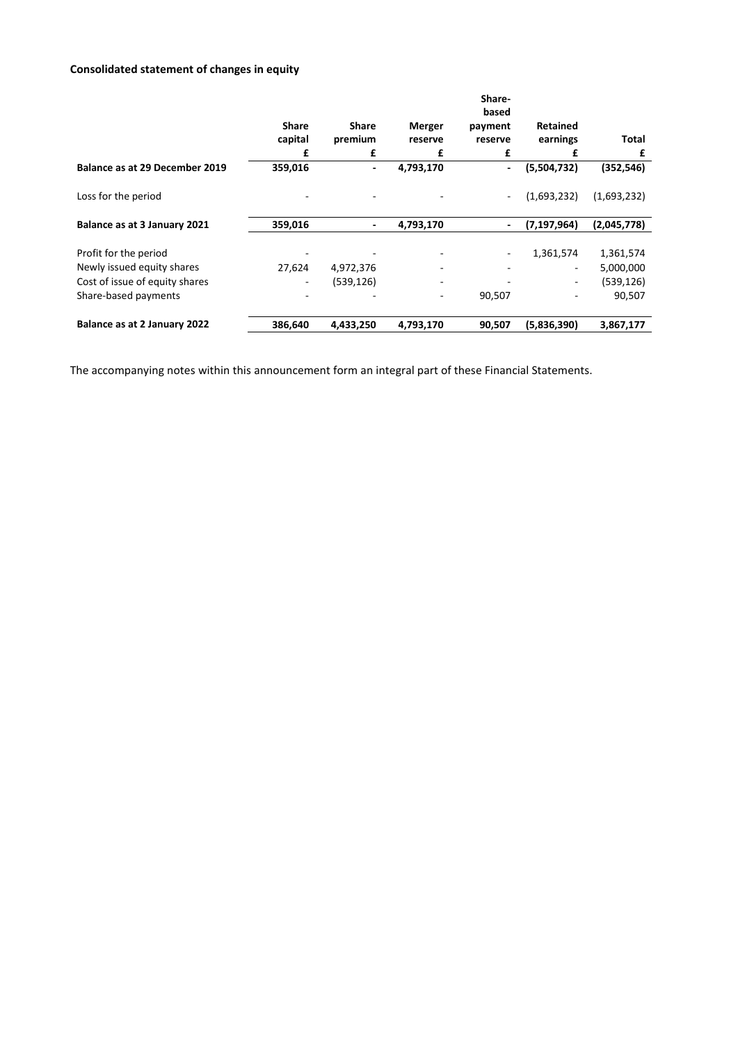# **Consolidated statement of changes in equity**

|                                |                         |                          |                          | Share-<br>based          |                             |             |
|--------------------------------|-------------------------|--------------------------|--------------------------|--------------------------|-----------------------------|-------------|
|                                | <b>Share</b><br>capital | <b>Share</b><br>premium  | <b>Merger</b><br>reserve | payment<br>reserve       | <b>Retained</b><br>earnings | Total       |
|                                | £                       | £                        | £                        | £                        | £                           | £           |
| Balance as at 29 December 2019 | 359,016                 | $\overline{\phantom{a}}$ | 4,793,170                | $\overline{\phantom{a}}$ | (5,504,732)                 | (352, 546)  |
| Loss for the period            |                         |                          |                          |                          | (1,693,232)                 | (1,693,232) |
| Balance as at 3 January 2021   | 359,016                 | $\overline{\phantom{a}}$ | 4,793,170                | $\overline{\phantom{a}}$ | (7, 197, 964)               | (2,045,778) |
| Profit for the period          |                         |                          |                          |                          | 1,361,574                   | 1,361,574   |
| Newly issued equity shares     | 27,624                  | 4,972,376                |                          |                          | ۰.                          | 5,000,000   |
| Cost of issue of equity shares |                         | (539, 126)               |                          |                          |                             | (539, 126)  |
| Share-based payments           |                         |                          |                          | 90,507                   |                             | 90,507      |
| Balance as at 2 January 2022   | 386,640                 | 4,433,250                | 4,793,170                | 90,507                   | (5,836,390)                 | 3,867,177   |

The accompanying notes within this announcement form an integral part of these Financial Statements.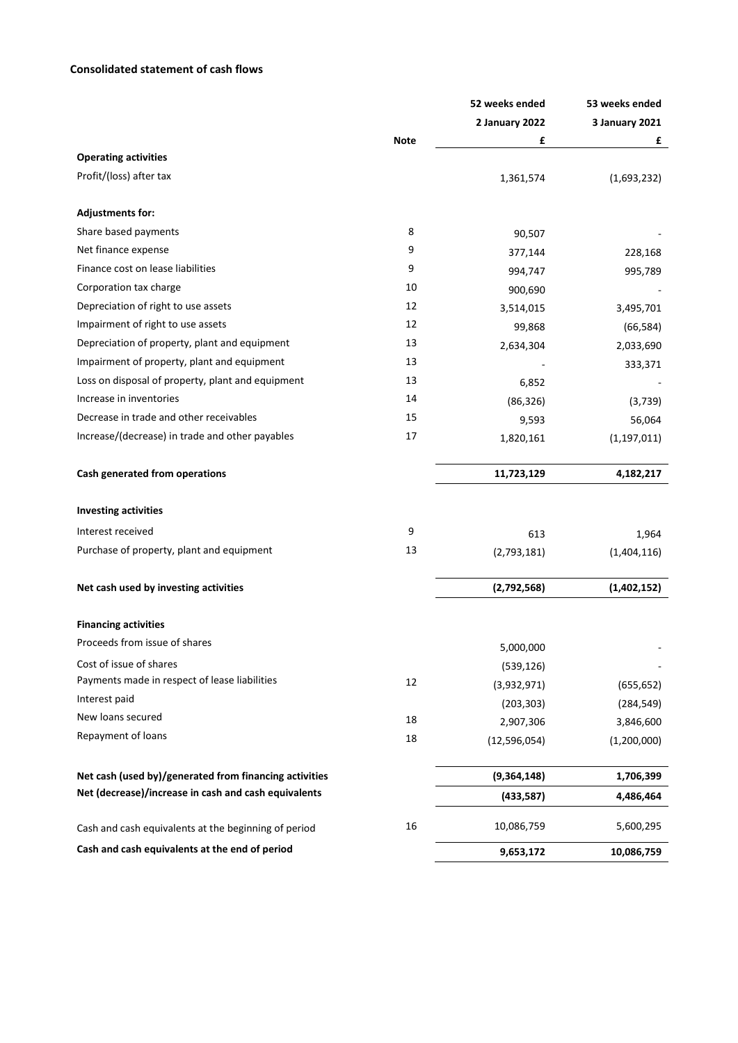# **Consolidated statement of cash flows**

|                                                        |             | 52 weeks ended | 53 weeks ended |
|--------------------------------------------------------|-------------|----------------|----------------|
|                                                        |             | 2 January 2022 | 3 January 2021 |
|                                                        | <b>Note</b> | £              | £              |
| <b>Operating activities</b>                            |             |                |                |
| Profit/(loss) after tax                                |             | 1,361,574      | (1,693,232)    |
| <b>Adjustments for:</b>                                |             |                |                |
| Share based payments                                   | 8           | 90,507         |                |
| Net finance expense                                    | 9           | 377,144        | 228,168        |
| Finance cost on lease liabilities                      | 9           | 994,747        | 995,789        |
| Corporation tax charge                                 | 10          | 900,690        |                |
| Depreciation of right to use assets                    | 12          | 3,514,015      | 3,495,701      |
| Impairment of right to use assets                      | 12          | 99,868         | (66, 584)      |
| Depreciation of property, plant and equipment          | 13          | 2,634,304      | 2,033,690      |
| Impairment of property, plant and equipment            | 13          |                | 333,371        |
| Loss on disposal of property, plant and equipment      | 13          | 6,852          |                |
| Increase in inventories                                | 14          | (86, 326)      | (3,739)        |
| Decrease in trade and other receivables                | 15          | 9,593          | 56,064         |
| Increase/(decrease) in trade and other payables        | 17          | 1,820,161      | (1, 197, 011)  |
| Cash generated from operations                         |             | 11,723,129     | 4,182,217      |
| <b>Investing activities</b>                            |             |                |                |
| Interest received                                      | 9           | 613            | 1,964          |
| Purchase of property, plant and equipment              | 13          | (2,793,181)    | (1,404,116)    |
| Net cash used by investing activities                  |             | (2,792,568)    | (1,402,152)    |
| <b>Financing activities</b>                            |             |                |                |
| Proceeds from issue of shares                          |             | 5,000,000      |                |
| Cost of issue of shares                                |             | (539, 126)     |                |
| Payments made in respect of lease liabilities          | 12          | (3,932,971)    | (655, 652)     |
| Interest paid                                          |             | (203, 303)     | (284, 549)     |
| New loans secured                                      | 18          | 2,907,306      | 3,846,600      |
| Repayment of loans                                     | 18          | (12, 596, 054) | (1,200,000)    |
| Net cash (used by)/generated from financing activities |             | (9,364,148)    | 1,706,399      |
| Net (decrease)/increase in cash and cash equivalents   |             | (433,587)      | 4,486,464      |
| Cash and cash equivalents at the beginning of period   | 16          | 10,086,759     | 5,600,295      |
| Cash and cash equivalents at the end of period         |             | 9,653,172      | 10,086,759     |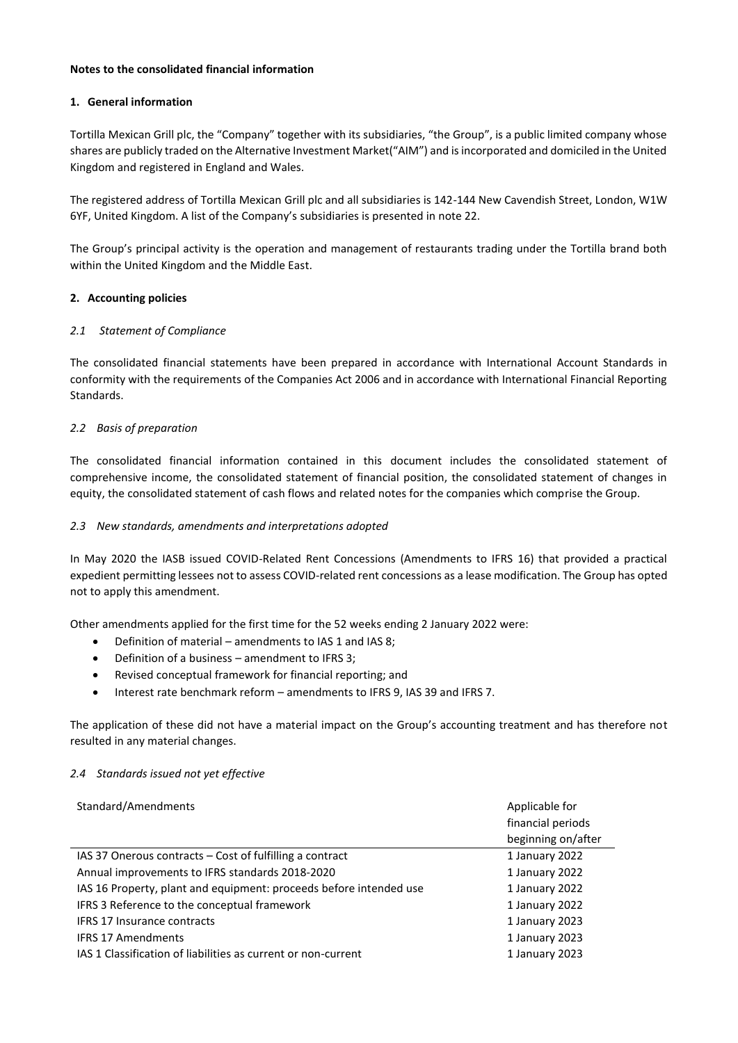# **Notes to the consolidated financial information**

# **1. General information**

Tortilla Mexican Grill plc, the "Company" together with its subsidiaries, "the Group", is a public limited company whose shares are publicly traded on the Alternative Investment Market("AIM") and is incorporated and domiciled in the United Kingdom and registered in England and Wales.

The registered address of Tortilla Mexican Grill plc and all subsidiaries is 142-144 New Cavendish Street, London, W1W 6YF, United Kingdom. A list of the Company's subsidiaries is presented in note 22.

The Group's principal activity is the operation and management of restaurants trading under the Tortilla brand both within the United Kingdom and the Middle East.

# **2. Accounting policies**

### *2.1 Statement of Compliance*

The consolidated financial statements have been prepared in accordance with International Account Standards in conformity with the requirements of the Companies Act 2006 and in accordance with International Financial Reporting Standards.

# *2.2 Basis of preparation*

The consolidated financial information contained in this document includes the consolidated statement of comprehensive income, the consolidated statement of financial position, the consolidated statement of changes in equity, the consolidated statement of cash flows and related notes for the companies which comprise the Group.

# *2.3 New standards, amendments and interpretations adopted*

In May 2020 the IASB issued COVID-Related Rent Concessions (Amendments to IFRS 16) that provided a practical expedient permitting lessees not to assess COVID-related rent concessions as a lease modification. The Group has opted not to apply this amendment.

Other amendments applied for the first time for the 52 weeks ending 2 January 2022 were:

- Definition of material amendments to IAS 1 and IAS 8;
- Definition of a business amendment to IFRS 3;
- Revised conceptual framework for financial reporting; and
- Interest rate benchmark reform amendments to IFRS 9, IAS 39 and IFRS 7.

The application of these did not have a material impact on the Group's accounting treatment and has therefore not resulted in any material changes.

#### *2.4 Standards issued not yet effective*

| Standard/Amendments                                                | Applicable for     |
|--------------------------------------------------------------------|--------------------|
|                                                                    | financial periods  |
|                                                                    | beginning on/after |
| IAS 37 Onerous contracts – Cost of fulfilling a contract           | 1 January 2022     |
| Annual improvements to IFRS standards 2018-2020                    | 1 January 2022     |
| IAS 16 Property, plant and equipment: proceeds before intended use | 1 January 2022     |
| IFRS 3 Reference to the conceptual framework                       | 1 January 2022     |
| <b>IFRS 17 Insurance contracts</b>                                 | 1 January 2023     |
| <b>IFRS 17 Amendments</b>                                          | 1 January 2023     |
| IAS 1 Classification of liabilities as current or non-current      | 1 January 2023     |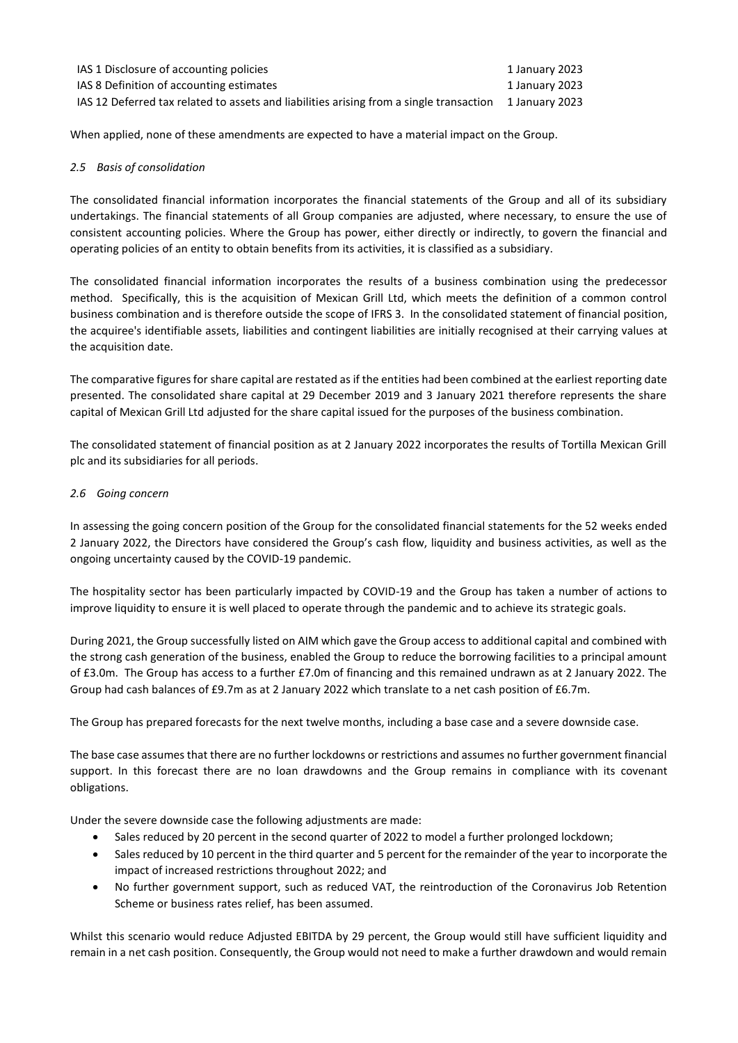| IAS 1 Disclosure of accounting policies                                                                | 1 January 2023 |
|--------------------------------------------------------------------------------------------------------|----------------|
| IAS 8 Definition of accounting estimates                                                               | 1 January 2023 |
| IAS 12 Deferred tax related to assets and liabilities arising from a single transaction 1 January 2023 |                |

When applied, none of these amendments are expected to have a material impact on the Group.

# *2.5 Basis of consolidation*

The consolidated financial information incorporates the financial statements of the Group and all of its subsidiary undertakings. The financial statements of all Group companies are adjusted, where necessary, to ensure the use of consistent accounting policies. Where the Group has power, either directly or indirectly, to govern the financial and operating policies of an entity to obtain benefits from its activities, it is classified as a subsidiary.

The consolidated financial information incorporates the results of a business combination using the predecessor method. Specifically, this is the acquisition of Mexican Grill Ltd, which meets the definition of a common control business combination and is therefore outside the scope of IFRS 3. In the consolidated statement of financial position, the acquiree's identifiable assets, liabilities and contingent liabilities are initially recognised at their carrying values at the acquisition date.

The comparative figures for share capital are restated as if the entities had been combined at the earliest reporting date presented. The consolidated share capital at 29 December 2019 and 3 January 2021 therefore represents the share capital of Mexican Grill Ltd adjusted for the share capital issued for the purposes of the business combination.

The consolidated statement of financial position as at 2 January 2022 incorporates the results of Tortilla Mexican Grill plc and its subsidiaries for all periods.

# *2.6 Going concern*

In assessing the going concern position of the Group for the consolidated financial statements for the 52 weeks ended 2 January 2022, the Directors have considered the Group's cash flow, liquidity and business activities, as well as the ongoing uncertainty caused by the COVID-19 pandemic.

The hospitality sector has been particularly impacted by COVID-19 and the Group has taken a number of actions to improve liquidity to ensure it is well placed to operate through the pandemic and to achieve its strategic goals.

During 2021, the Group successfully listed on AIM which gave the Group access to additional capital and combined with the strong cash generation of the business, enabled the Group to reduce the borrowing facilities to a principal amount of £3.0m. The Group has access to a further £7.0m of financing and this remained undrawn as at 2 January 2022. The Group had cash balances of £9.7m as at 2 January 2022 which translate to a net cash position of £6.7m.

The Group has prepared forecasts for the next twelve months, including a base case and a severe downside case.

The base case assumes that there are no further lockdowns or restrictions and assumes no further government financial support. In this forecast there are no loan drawdowns and the Group remains in compliance with its covenant obligations.

Under the severe downside case the following adjustments are made:

- Sales reduced by 20 percent in the second quarter of 2022 to model a further prolonged lockdown;
- Sales reduced by 10 percent in the third quarter and 5 percent for the remainder of the year to incorporate the impact of increased restrictions throughout 2022; and
- No further government support, such as reduced VAT, the reintroduction of the Coronavirus Job Retention Scheme or business rates relief, has been assumed.

Whilst this scenario would reduce Adjusted EBITDA by 29 percent, the Group would still have sufficient liquidity and remain in a net cash position. Consequently, the Group would not need to make a further drawdown and would remain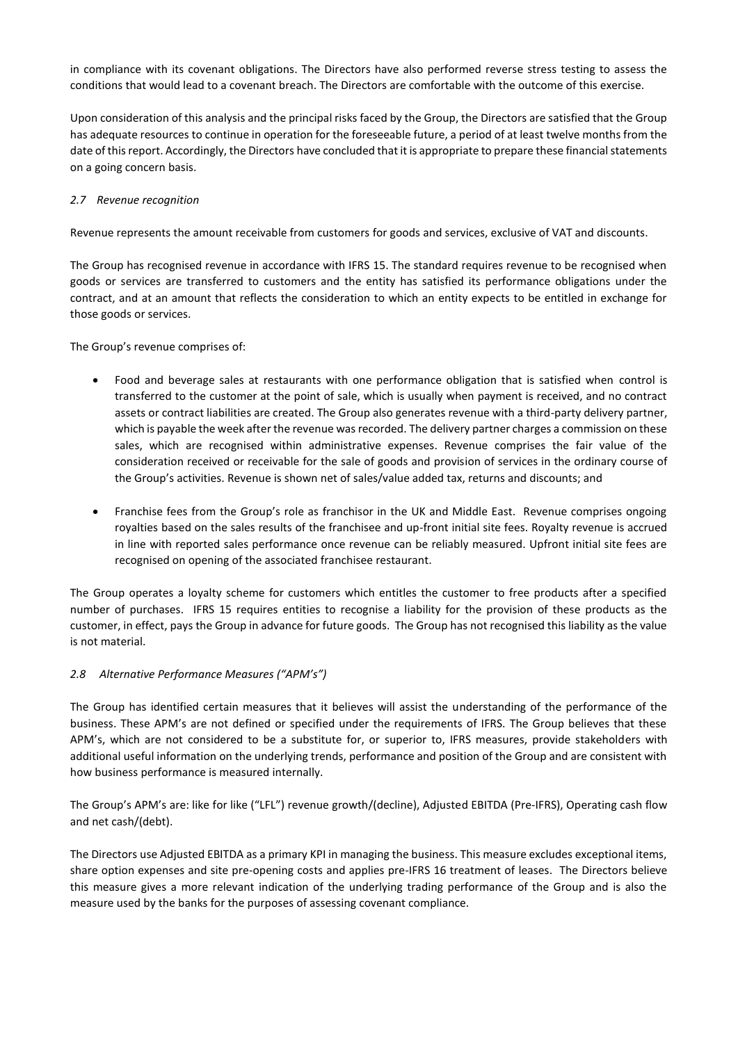in compliance with its covenant obligations. The Directors have also performed reverse stress testing to assess the conditions that would lead to a covenant breach. The Directors are comfortable with the outcome of this exercise.

Upon consideration of this analysis and the principal risks faced by the Group, the Directors are satisfied that the Group has adequate resources to continue in operation for the foreseeable future, a period of at least twelve months from the date of this report. Accordingly, the Directors have concluded that it is appropriate to prepare these financial statements on a going concern basis.

# *2.7 Revenue recognition*

Revenue represents the amount receivable from customers for goods and services, exclusive of VAT and discounts.

The Group has recognised revenue in accordance with IFRS 15. The standard requires revenue to be recognised when goods or services are transferred to customers and the entity has satisfied its performance obligations under the contract, and at an amount that reflects the consideration to which an entity expects to be entitled in exchange for those goods or services.

The Group's revenue comprises of:

- Food and beverage sales at restaurants with one performance obligation that is satisfied when control is transferred to the customer at the point of sale, which is usually when payment is received, and no contract assets or contract liabilities are created. The Group also generates revenue with a third-party delivery partner, which is payable the week after the revenue was recorded. The delivery partner charges a commission on these sales, which are recognised within administrative expenses. Revenue comprises the fair value of the consideration received or receivable for the sale of goods and provision of services in the ordinary course of the Group's activities. Revenue is shown net of sales/value added tax, returns and discounts; and
- Franchise fees from the Group's role as franchisor in the UK and Middle East. Revenue comprises ongoing royalties based on the sales results of the franchisee and up-front initial site fees. Royalty revenue is accrued in line with reported sales performance once revenue can be reliably measured. Upfront initial site fees are recognised on opening of the associated franchisee restaurant.

The Group operates a loyalty scheme for customers which entitles the customer to free products after a specified number of purchases. IFRS 15 requires entities to recognise a liability for the provision of these products as the customer, in effect, pays the Group in advance for future goods. The Group has not recognised this liability as the value is not material.

# *2.8 Alternative Performance Measures ("APM's")*

The Group has identified certain measures that it believes will assist the understanding of the performance of the business. These APM's are not defined or specified under the requirements of IFRS. The Group believes that these APM's, which are not considered to be a substitute for, or superior to, IFRS measures, provide stakeholders with additional useful information on the underlying trends, performance and position of the Group and are consistent with how business performance is measured internally.

The Group's APM's are: like for like ("LFL") revenue growth/(decline), Adjusted EBITDA (Pre-IFRS), Operating cash flow and net cash/(debt).

The Directors use Adjusted EBITDA as a primary KPI in managing the business. This measure excludes exceptional items, share option expenses and site pre-opening costs and applies pre-IFRS 16 treatment of leases. The Directors believe this measure gives a more relevant indication of the underlying trading performance of the Group and is also the measure used by the banks for the purposes of assessing covenant compliance.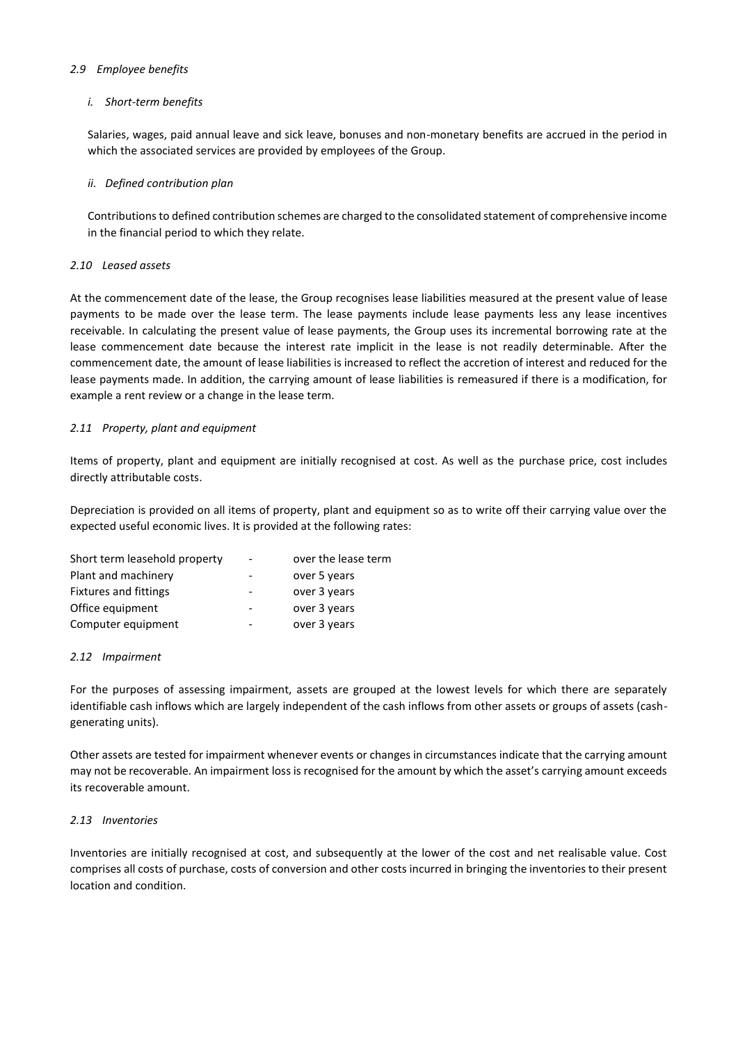### *2.9 Employee benefits*

### *i. Short-term benefits*

Salaries, wages, paid annual leave and sick leave, bonuses and non-monetary benefits are accrued in the period in which the associated services are provided by employees of the Group.

### *ii. Defined contribution plan*

Contributions to defined contribution schemes are charged to the consolidated statement of comprehensive income in the financial period to which they relate.

### *2.10 Leased assets*

At the commencement date of the lease, the Group recognises lease liabilities measured at the present value of lease payments to be made over the lease term. The lease payments include lease payments less any lease incentives receivable. In calculating the present value of lease payments, the Group uses its incremental borrowing rate at the lease commencement date because the interest rate implicit in the lease is not readily determinable. After the commencement date, the amount of lease liabilities is increased to reflect the accretion of interest and reduced for the lease payments made. In addition, the carrying amount of lease liabilities is remeasured if there is a modification, for example a rent review or a change in the lease term.

# *2.11 Property, plant and equipment*

Items of property, plant and equipment are initially recognised at cost. As well as the purchase price, cost includes directly attributable costs.

Depreciation is provided on all items of property, plant and equipment so as to write off their carrying value over the expected useful economic lives. It is provided at the following rates:

| Short term leasehold property |   | over the lease term |
|-------------------------------|---|---------------------|
| Plant and machinery           |   | over 5 years        |
| Fixtures and fittings         | - | over 3 years        |
| Office equipment              |   | over 3 years        |
| Computer equipment            |   | over 3 years        |

#### *2.12 Impairment*

For the purposes of assessing impairment, assets are grouped at the lowest levels for which there are separately identifiable cash inflows which are largely independent of the cash inflows from other assets or groups of assets (cashgenerating units).

Other assets are tested for impairment whenever events or changes in circumstances indicate that the carrying amount may not be recoverable. An impairment loss is recognised for the amount by which the asset's carrying amount exceeds its recoverable amount.

# *2.13 Inventories*

Inventories are initially recognised at cost, and subsequently at the lower of the cost and net realisable value. Cost comprises all costs of purchase, costs of conversion and other costs incurred in bringing the inventories to their present location and condition.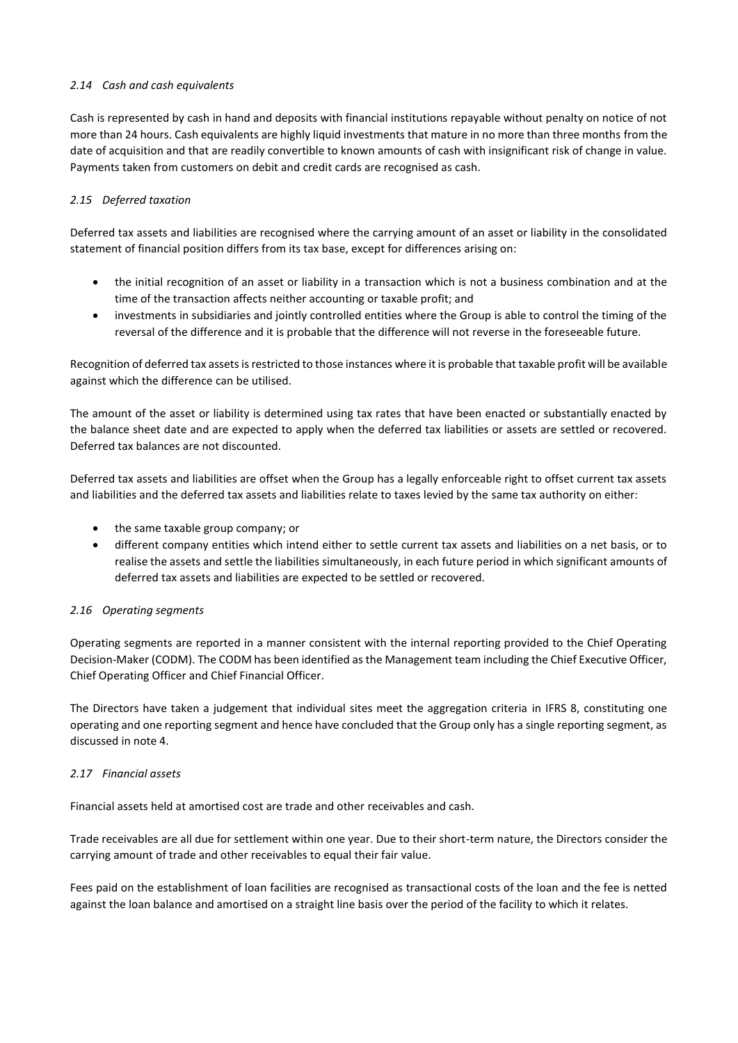# *2.14 Cash and cash equivalents*

Cash is represented by cash in hand and deposits with financial institutions repayable without penalty on notice of not more than 24 hours. Cash equivalents are highly liquid investments that mature in no more than three months from the date of acquisition and that are readily convertible to known amounts of cash with insignificant risk of change in value. Payments taken from customers on debit and credit cards are recognised as cash.

# *2.15 Deferred taxation*

Deferred tax assets and liabilities are recognised where the carrying amount of an asset or liability in the consolidated statement of financial position differs from its tax base, except for differences arising on:

- the initial recognition of an asset or liability in a transaction which is not a business combination and at the time of the transaction affects neither accounting or taxable profit; and
- investments in subsidiaries and jointly controlled entities where the Group is able to control the timing of the reversal of the difference and it is probable that the difference will not reverse in the foreseeable future.

Recognition of deferred tax assets is restricted to those instances where it is probable that taxable profit will be available against which the difference can be utilised.

The amount of the asset or liability is determined using tax rates that have been enacted or substantially enacted by the balance sheet date and are expected to apply when the deferred tax liabilities or assets are settled or recovered. Deferred tax balances are not discounted.

Deferred tax assets and liabilities are offset when the Group has a legally enforceable right to offset current tax assets and liabilities and the deferred tax assets and liabilities relate to taxes levied by the same tax authority on either:

- the same taxable group company; or
- different company entities which intend either to settle current tax assets and liabilities on a net basis, or to realise the assets and settle the liabilities simultaneously, in each future period in which significant amounts of deferred tax assets and liabilities are expected to be settled or recovered.

# *2.16 Operating segments*

Operating segments are reported in a manner consistent with the internal reporting provided to the Chief Operating Decision-Maker (CODM). The CODM has been identified as the Management team including the Chief Executive Officer, Chief Operating Officer and Chief Financial Officer.

The Directors have taken a judgement that individual sites meet the aggregation criteria in IFRS 8, constituting one operating and one reporting segment and hence have concluded that the Group only has a single reporting segment, as discussed in note 4.

# *2.17 Financial assets*

Financial assets held at amortised cost are trade and other receivables and cash.

Trade receivables are all due for settlement within one year. Due to their short-term nature, the Directors consider the carrying amount of trade and other receivables to equal their fair value.

Fees paid on the establishment of loan facilities are recognised as transactional costs of the loan and the fee is netted against the loan balance and amortised on a straight line basis over the period of the facility to which it relates.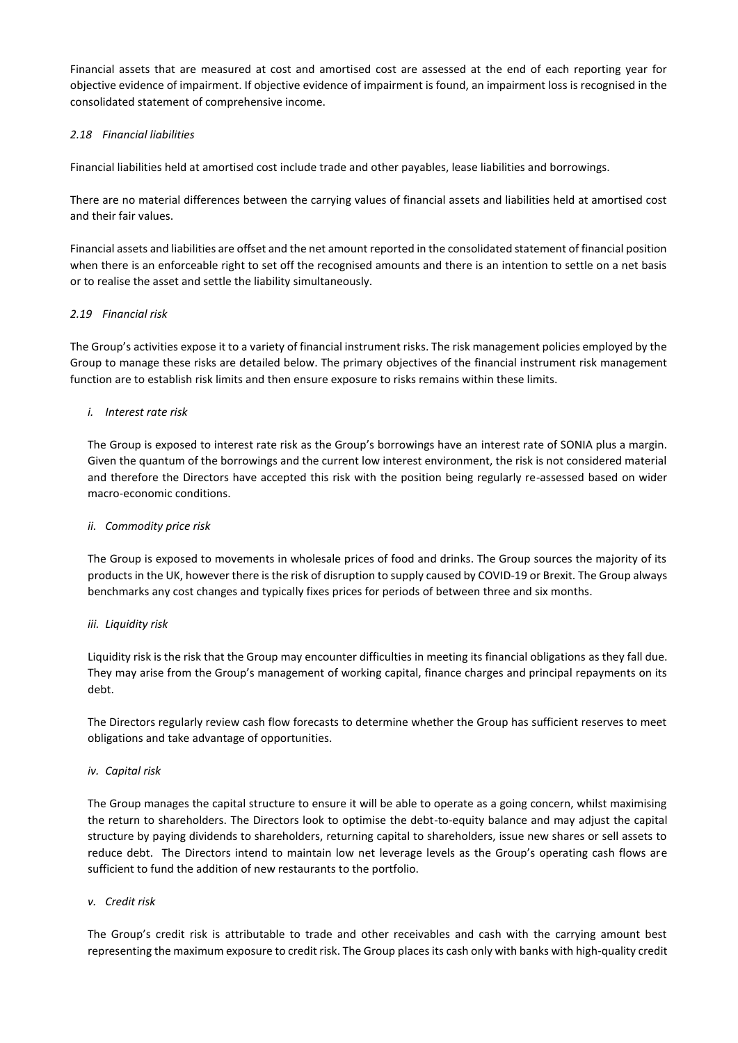Financial assets that are measured at cost and amortised cost are assessed at the end of each reporting year for objective evidence of impairment. If objective evidence of impairment is found, an impairment loss is recognised in the consolidated statement of comprehensive income.

# *2.18 Financial liabilities*

Financial liabilities held at amortised cost include trade and other payables, lease liabilities and borrowings.

There are no material differences between the carrying values of financial assets and liabilities held at amortised cost and their fair values.

Financial assets and liabilities are offset and the net amount reported in the consolidated statement of financial position when there is an enforceable right to set off the recognised amounts and there is an intention to settle on a net basis or to realise the asset and settle the liability simultaneously.

# *2.19 Financial risk*

The Group's activities expose it to a variety of financial instrument risks. The risk management policies employed by the Group to manage these risks are detailed below. The primary objectives of the financial instrument risk management function are to establish risk limits and then ensure exposure to risks remains within these limits.

# *i. Interest rate risk*

The Group is exposed to interest rate risk as the Group's borrowings have an interest rate of SONIA plus a margin. Given the quantum of the borrowings and the current low interest environment, the risk is not considered material and therefore the Directors have accepted this risk with the position being regularly re-assessed based on wider macro-economic conditions.

# *ii. Commodity price risk*

The Group is exposed to movements in wholesale prices of food and drinks. The Group sources the majority of its products in the UK, however there is the risk of disruption to supply caused by COVID-19 or Brexit. The Group always benchmarks any cost changes and typically fixes prices for periods of between three and six months.

# *iii. Liquidity risk*

Liquidity risk is the risk that the Group may encounter difficulties in meeting its financial obligations as they fall due. They may arise from the Group's management of working capital, finance charges and principal repayments on its debt.

The Directors regularly review cash flow forecasts to determine whether the Group has sufficient reserves to meet obligations and take advantage of opportunities.

# *iv. Capital risk*

The Group manages the capital structure to ensure it will be able to operate as a going concern, whilst maximising the return to shareholders. The Directors look to optimise the debt-to-equity balance and may adjust the capital structure by paying dividends to shareholders, returning capital to shareholders, issue new shares or sell assets to reduce debt. The Directors intend to maintain low net leverage levels as the Group's operating cash flows are sufficient to fund the addition of new restaurants to the portfolio.

# *v. Credit risk*

The Group's credit risk is attributable to trade and other receivables and cash with the carrying amount best representing the maximum exposure to credit risk. The Group places its cash only with banks with high-quality credit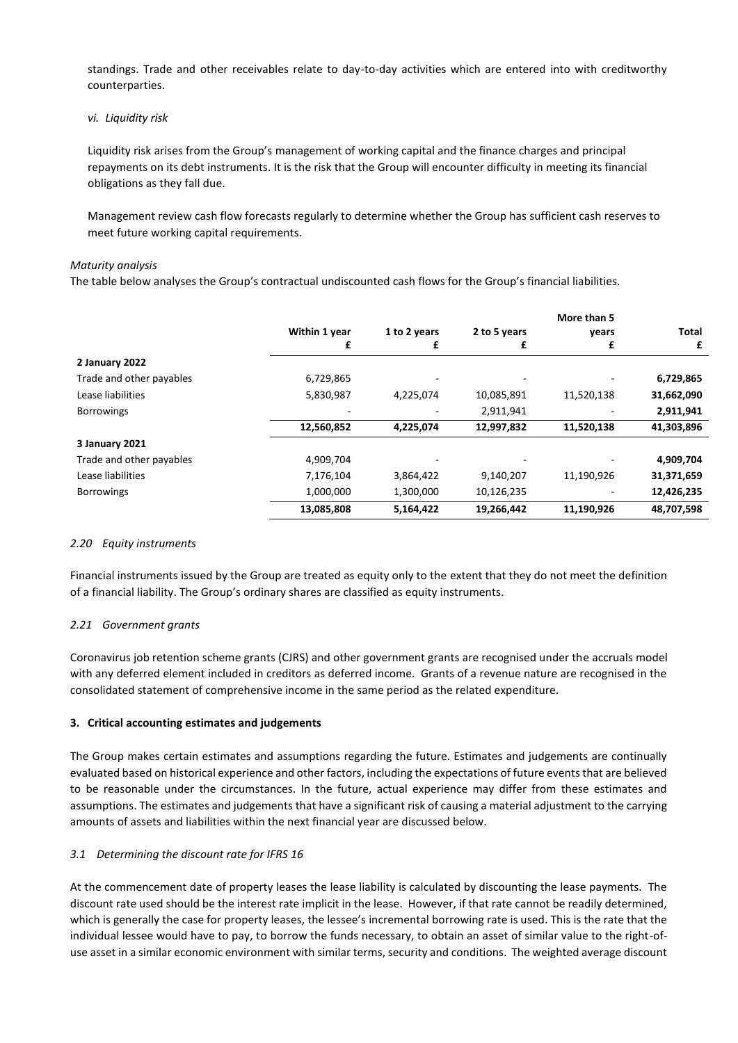standings. Trade and other receivables relate to day-to-day activities which are entered into with creditworthy counterparties.

### *vi. Liquidity risk*

Liquidity risk arises from the Group's management of working capital and the finance charges and principal repayments on its debt instruments. It is the risk that the Group will encounter difficulty in meeting its financial obligations as they fall due.

Management review cash flow forecasts regularly to determine whether the Group has sufficient cash reserves to meet future working capital requirements.

#### *Maturity analysis*

The table below analyses the Group's contractual undiscounted cash flows for the Group's financial liabilities.

|                          |               |              |              | More than 5 |            |
|--------------------------|---------------|--------------|--------------|-------------|------------|
|                          | Within 1 year | 1 to 2 years | 2 to 5 years | years       | Total      |
|                          | £             | £            | £            | £           | £          |
| 2 January 2022           |               |              |              |             |            |
| Trade and other payables | 6,729,865     |              |              |             | 6,729,865  |
| Lease liabilities        | 5,830,987     | 4,225,074    | 10,085,891   | 11,520,138  | 31,662,090 |
| <b>Borrowings</b>        |               |              | 2,911,941    |             | 2,911,941  |
|                          | 12,560,852    | 4,225,074    | 12,997,832   | 11,520,138  | 41,303,896 |
| 3 January 2021           |               |              |              |             |            |
| Trade and other payables | 4,909,704     |              |              |             | 4,909,704  |
| Lease liabilities        | 7,176,104     | 3,864,422    | 9,140,207    | 11,190,926  | 31,371,659 |
| <b>Borrowings</b>        | 1,000,000     | 1,300,000    | 10,126,235   |             | 12,426,235 |
|                          | 13,085,808    | 5,164,422    | 19,266,442   | 11,190,926  | 48.707.598 |

# *2.20 Equity instruments*

Financial instruments issued by the Group are treated as equity only to the extent that they do not meet the definition of a financial liability. The Group's ordinary shares are classified as equity instruments.

# *2.21 Government grants*

Coronavirus job retention scheme grants (CJRS) and other government grants are recognised under the accruals model with any deferred element included in creditors as deferred income. Grants of a revenue nature are recognised in the consolidated statement of comprehensive income in the same period as the related expenditure.

#### **3. Critical accounting estimates and judgements**

The Group makes certain estimates and assumptions regarding the future. Estimates and judgements are continually evaluated based on historical experience and other factors, including the expectations of future events that are believed to be reasonable under the circumstances. In the future, actual experience may differ from these estimates and assumptions. The estimates and judgements that have a significant risk of causing a material adjustment to the carrying amounts of assets and liabilities within the next financial year are discussed below.

#### *3.1 Determining the discount rate for IFRS 16*

At the commencement date of property leases the lease liability is calculated by discounting the lease payments. The discount rate used should be the interest rate implicit in the lease. However, if that rate cannot be readily determined, which is generally the case for property leases, the lessee's incremental borrowing rate is used. This is the rate that the individual lessee would have to pay, to borrow the funds necessary, to obtain an asset of similar value to the right-ofuse asset in a similar economic environment with similar terms, security and conditions. The weighted average discount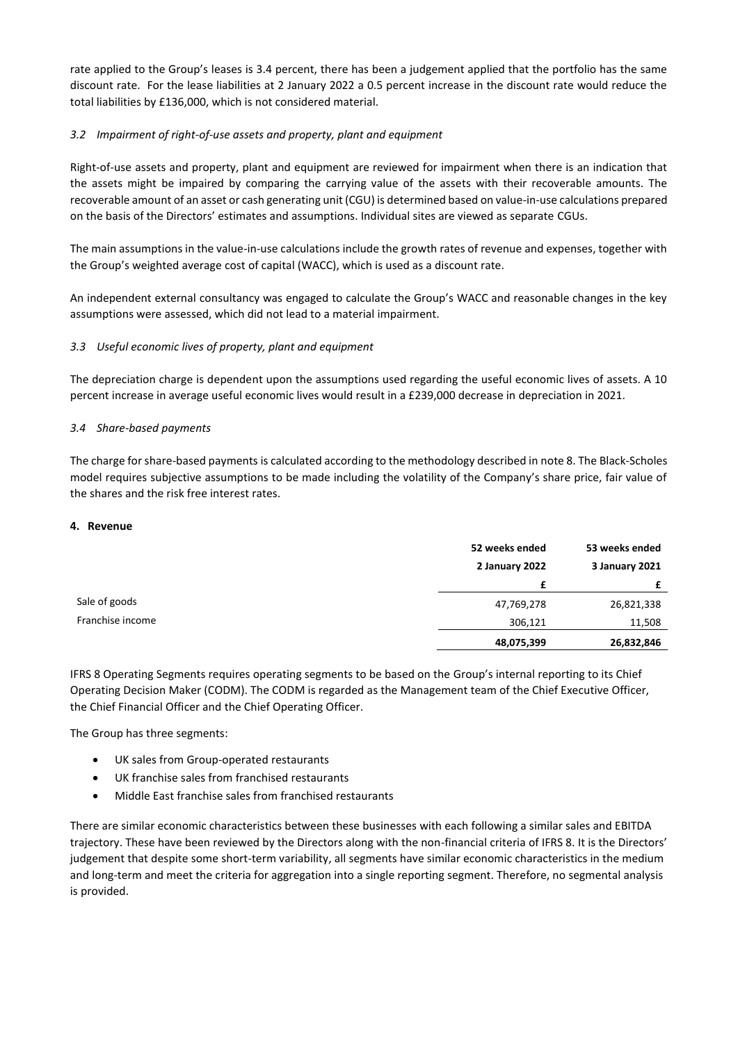rate applied to the Group's leases is 3.4 percent, there has been a judgement applied that the portfolio has the same discount rate. For the lease liabilities at 2 January 2022 a 0.5 percent increase in the discount rate would reduce the total liabilities by £136,000, which is not considered material.

# *3.2 Impairment of right-of-use assets and property, plant and equipment*

Right-of-use assets and property, plant and equipment are reviewed for impairment when there is an indication that the assets might be impaired by comparing the carrying value of the assets with their recoverable amounts. The recoverable amount of an asset or cash generating unit (CGU) is determined based on value-in-use calculations prepared on the basis of the Directors' estimates and assumptions. Individual sites are viewed as separate CGUs.

The main assumptions in the value-in-use calculations include the growth rates of revenue and expenses, together with the Group's weighted average cost of capital (WACC), which is used as a discount rate.

An independent external consultancy was engaged to calculate the Group's WACC and reasonable changes in the key assumptions were assessed, which did not lead to a material impairment.

# *3.3 Useful economic lives of property, plant and equipment*

The depreciation charge is dependent upon the assumptions used regarding the useful economic lives of assets. A 10 percent increase in average useful economic lives would result in a £239,000 decrease in depreciation in 2021.

# *3.4 Share-based payments*

The charge for share-based payments is calculated according to the methodology described in note 8. The Black-Scholes model requires subjective assumptions to be made including the volatility of the Company's share price, fair value of the shares and the risk free interest rates.

# **4. Revenue**

|                  | 52 weeks ended | 53 weeks ended |
|------------------|----------------|----------------|
|                  | 2 January 2022 | 3 January 2021 |
|                  | £              |                |
| Sale of goods    | 47,769,278     | 26,821,338     |
| Franchise income | 306,121        | 11,508         |
|                  | 48,075,399     | 26,832,846     |

IFRS 8 Operating Segments requires operating segments to be based on the Group's internal reporting to its Chief Operating Decision Maker (CODM). The CODM is regarded as the Management team of the Chief Executive Officer, the Chief Financial Officer and the Chief Operating Officer.

The Group has three segments:

- UK sales from Group-operated restaurants
- UK franchise sales from franchised restaurants
- Middle East franchise sales from franchised restaurants

There are similar economic characteristics between these businesses with each following a similar sales and EBITDA trajectory. These have been reviewed by the Directors along with the non-financial criteria of IFRS 8. It is the Directors' judgement that despite some short-term variability, all segments have similar economic characteristics in the medium and long-term and meet the criteria for aggregation into a single reporting segment. Therefore, no segmental analysis is provided.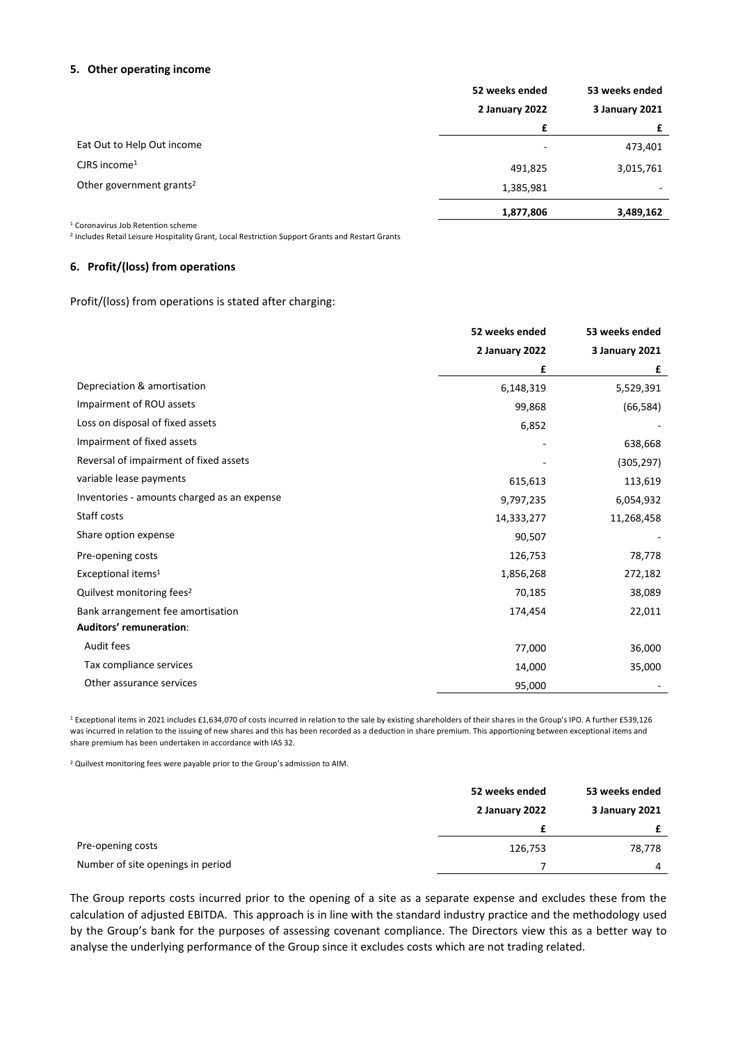#### **5. Other operating income**

|                                      | 52 weeks ended           | 53 weeks ended |
|--------------------------------------|--------------------------|----------------|
|                                      | 2 January 2022           | 3 January 2021 |
|                                      |                          |                |
| Eat Out to Help Out income           | $\overline{\phantom{0}}$ | 473,401        |
| $C$ JRS income <sup>1</sup>          | 491,825                  | 3,015,761      |
| Other government grants <sup>2</sup> | 1,385,981                | ۰              |
|                                      | 1,877,806                | 3,489,162      |

<sup>1</sup> Coronavirus Job Retention scheme

2 Includes Retail Leisure Hospitality Grant, Local Restriction Support Grants and Restart Grants

# **6. Profit/(loss) from operations**

Profit/(loss) from operations is stated after charging:

|                                             | 52 weeks ended | 53 weeks ended        |
|---------------------------------------------|----------------|-----------------------|
|                                             | 2 January 2022 | <b>3 January 2021</b> |
|                                             | £              | £                     |
| Depreciation & amortisation                 | 6,148,319      | 5,529,391             |
| Impairment of ROU assets                    | 99,868         | (66, 584)             |
| Loss on disposal of fixed assets            | 6,852          |                       |
| Impairment of fixed assets                  |                | 638,668               |
| Reversal of impairment of fixed assets      |                | (305, 297)            |
| variable lease payments                     | 615,613        | 113,619               |
| Inventories - amounts charged as an expense | 9,797,235      | 6,054,932             |
| Staff costs                                 | 14,333,277     | 11,268,458            |
| Share option expense                        | 90,507         |                       |
| Pre-opening costs                           | 126,753        | 78,778                |
| Exceptional items <sup>1</sup>              | 1,856,268      | 272,182               |
| Quilvest monitoring fees <sup>2</sup>       | 70,185         | 38,089                |
| Bank arrangement fee amortisation           | 174,454        | 22,011                |
| Auditors' remuneration:                     |                |                       |
| Audit fees                                  | 77,000         | 36,000                |
| Tax compliance services                     | 14,000         | 35,000                |
| Other assurance services                    | 95,000         |                       |

<sup>1</sup> Exceptional items in 2021 includes £1,634,070 of costs incurred in relation to the sale by existing shareholders of their shares in the Group's IPO. A further £539,126 was incurred in relation to the issuing of new shares and this has been recorded as a deduction in share premium. This apportioning between exceptional items and share premium has been undertaken in accordance with IAS 32.

<sup>2</sup> Quilvest monitoring fees were payable prior to the Group's admission to AIM.

|                                   | 52 weeks ended | 53 weeks ended |
|-----------------------------------|----------------|----------------|
|                                   | 2 January 2022 | 3 January 2021 |
|                                   |                | £              |
| Pre-opening costs                 | 126,753        | 78,778         |
| Number of site openings in period |                | $\overline{4}$ |

The Group reports costs incurred prior to the opening of a site as a separate expense and excludes these from the calculation of adjusted EBITDA. This approach is in line with the standard industry practice and the methodology used by the Group's bank for the purposes of assessing covenant compliance. The Directors view this as a better way to analyse the underlying performance of the Group since it excludes costs which are not trading related.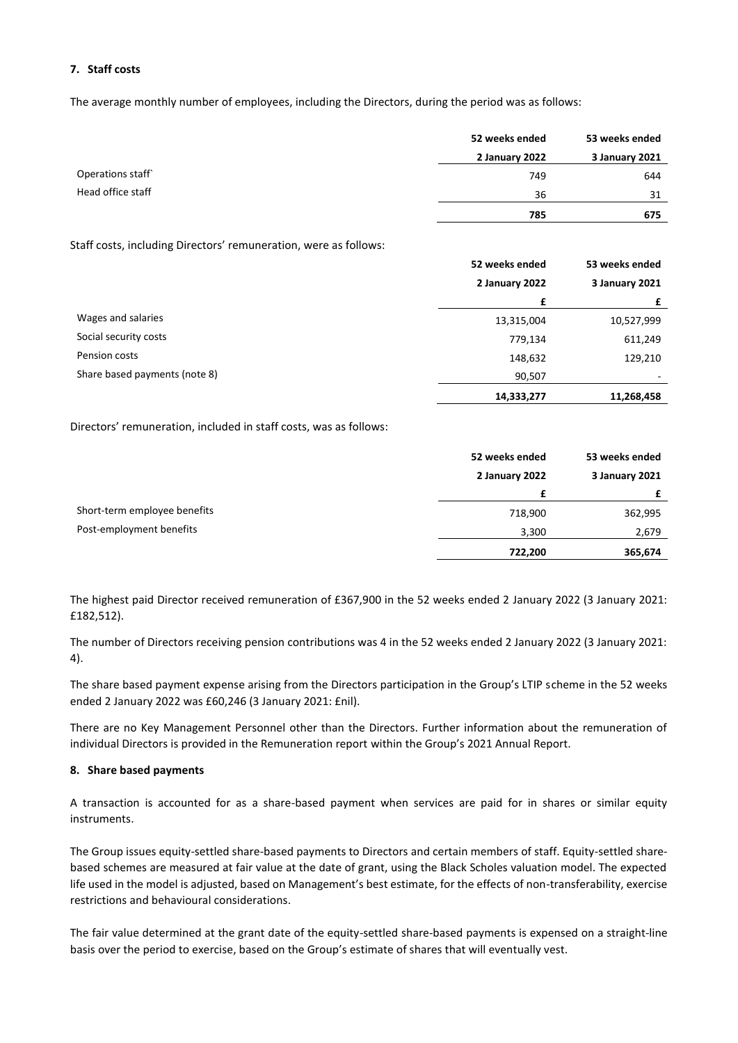# **7. Staff costs**

The average monthly number of employees, including the Directors, during the period was as follows:

|                   | 52 weeks ended | 53 weeks ended |
|-------------------|----------------|----------------|
|                   | 2 January 2022 | 3 January 2021 |
| Operations staff  | 749            | 644            |
| Head office staff | 36             | 31             |
|                   | 785            | 675            |

Staff costs, including Directors' remuneration, were as follows:

|                               | 52 weeks ended | 53 weeks ended |  |
|-------------------------------|----------------|----------------|--|
|                               | 2 January 2022 | 3 January 2021 |  |
|                               | £              |                |  |
| Wages and salaries            | 13,315,004     | 10,527,999     |  |
| Social security costs         | 779,134        | 611,249        |  |
| Pension costs                 | 148,632        | 129,210        |  |
| Share based payments (note 8) | 90,507         |                |  |
|                               | 14,333,277     | 11,268,458     |  |

Directors' remuneration, included in staff costs, was as follows:

|                              | 52 weeks ended | 53 weeks ended |
|------------------------------|----------------|----------------|
|                              | 2 January 2022 | 3 January 2021 |
|                              |                |                |
| Short-term employee benefits | 718,900        | 362,995        |
| Post-employment benefits     | 3,300          | 2,679          |
|                              | 722,200        | 365,674        |

The highest paid Director received remuneration of £367,900 in the 52 weeks ended 2 January 2022 (3 January 2021: £182,512).

The number of Directors receiving pension contributions was 4 in the 52 weeks ended 2 January 2022 (3 January 2021: 4).

The share based payment expense arising from the Directors participation in the Group's LTIP scheme in the 52 weeks ended 2 January 2022 was £60,246 (3 January 2021: £nil).

There are no Key Management Personnel other than the Directors. Further information about the remuneration of individual Directors is provided in the Remuneration report within the Group's 2021 Annual Report.

# **8. Share based payments**

A transaction is accounted for as a share-based payment when services are paid for in shares or similar equity instruments.

The Group issues equity-settled share-based payments to Directors and certain members of staff. Equity-settled sharebased schemes are measured at fair value at the date of grant, using the Black Scholes valuation model. The expected life used in the model is adjusted, based on Management's best estimate, for the effects of non-transferability, exercise restrictions and behavioural considerations.

The fair value determined at the grant date of the equity-settled share-based payments is expensed on a straight-line basis over the period to exercise, based on the Group's estimate of shares that will eventually vest.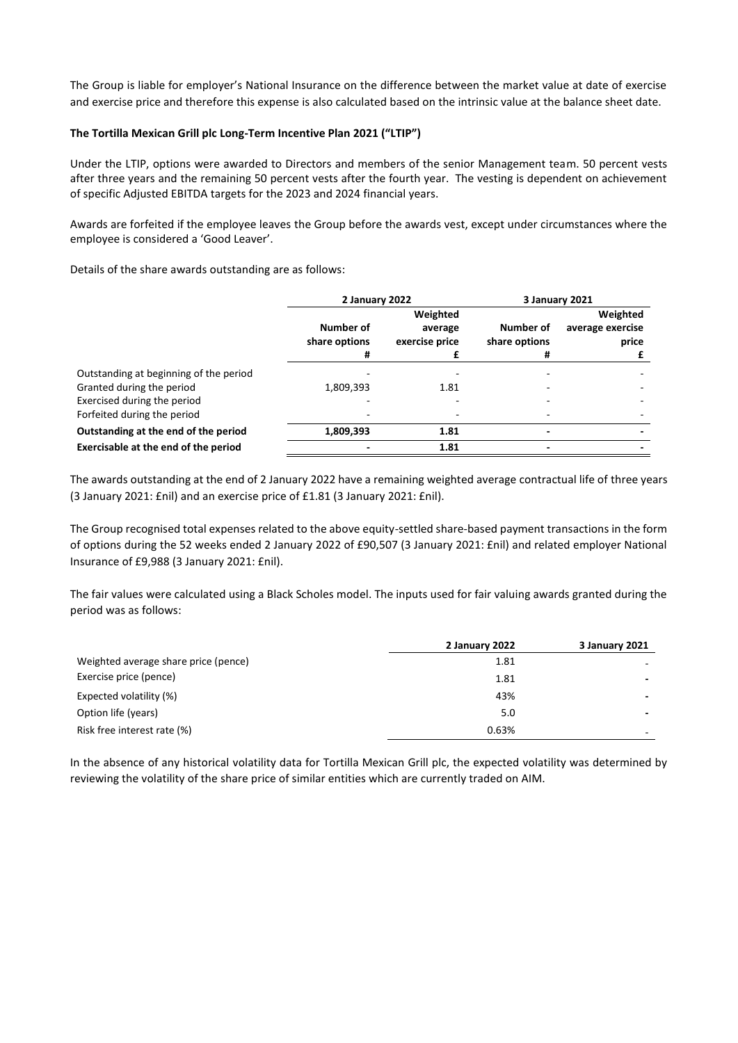The Group is liable for employer's National Insurance on the difference between the market value at date of exercise and exercise price and therefore this expense is also calculated based on the intrinsic value at the balance sheet date.

### **The Tortilla Mexican Grill plc Long-Term Incentive Plan 2021 ("LTIP")**

Under the LTIP, options were awarded to Directors and members of the senior Management team. 50 percent vests after three years and the remaining 50 percent vests after the fourth year. The vesting is dependent on achievement of specific Adjusted EBITDA targets for the 2023 and 2024 financial years.

Awards are forfeited if the employee leaves the Group before the awards vest, except under circumstances where the employee is considered a 'Good Leaver'.

Details of the share awards outstanding are as follows:

|                                        | 2 January 2022                  |                                       |                                 | 3 January 2021                        |
|----------------------------------------|---------------------------------|---------------------------------------|---------------------------------|---------------------------------------|
|                                        | Number of<br>share options<br># | Weighted<br>average<br>exercise price | Number of<br>share options<br>Ħ | Weighted<br>average exercise<br>price |
| Outstanding at beginning of the period |                                 |                                       |                                 |                                       |
| Granted during the period              | 1,809,393                       | 1.81                                  |                                 |                                       |
| Exercised during the period            |                                 |                                       |                                 |                                       |
| Forfeited during the period            |                                 |                                       |                                 |                                       |
| Outstanding at the end of the period   | 1,809,393                       | 1.81                                  |                                 |                                       |
| Exercisable at the end of the period   |                                 | 1.81                                  | $\overline{\phantom{0}}$        |                                       |

The awards outstanding at the end of 2 January 2022 have a remaining weighted average contractual life of three years (3 January 2021: £nil) and an exercise price of £1.81 (3 January 2021: £nil).

The Group recognised total expenses related to the above equity-settled share-based payment transactions in the form of options during the 52 weeks ended 2 January 2022 of £90,507 (3 January 2021: £nil) and related employer National Insurance of £9,988 (3 January 2021: £nil).

The fair values were calculated using a Black Scholes model. The inputs used for fair valuing awards granted during the period was as follows:

|                                      | 2 January 2022 | 3 January 2021 |
|--------------------------------------|----------------|----------------|
| Weighted average share price (pence) | 1.81           |                |
| Exercise price (pence)               | 1.81           |                |
| Expected volatility (%)              | 43%            |                |
| Option life (years)                  | 5.0            |                |
| Risk free interest rate (%)          | 0.63%          |                |

In the absence of any historical volatility data for Tortilla Mexican Grill plc, the expected volatility was determined by reviewing the volatility of the share price of similar entities which are currently traded on AIM.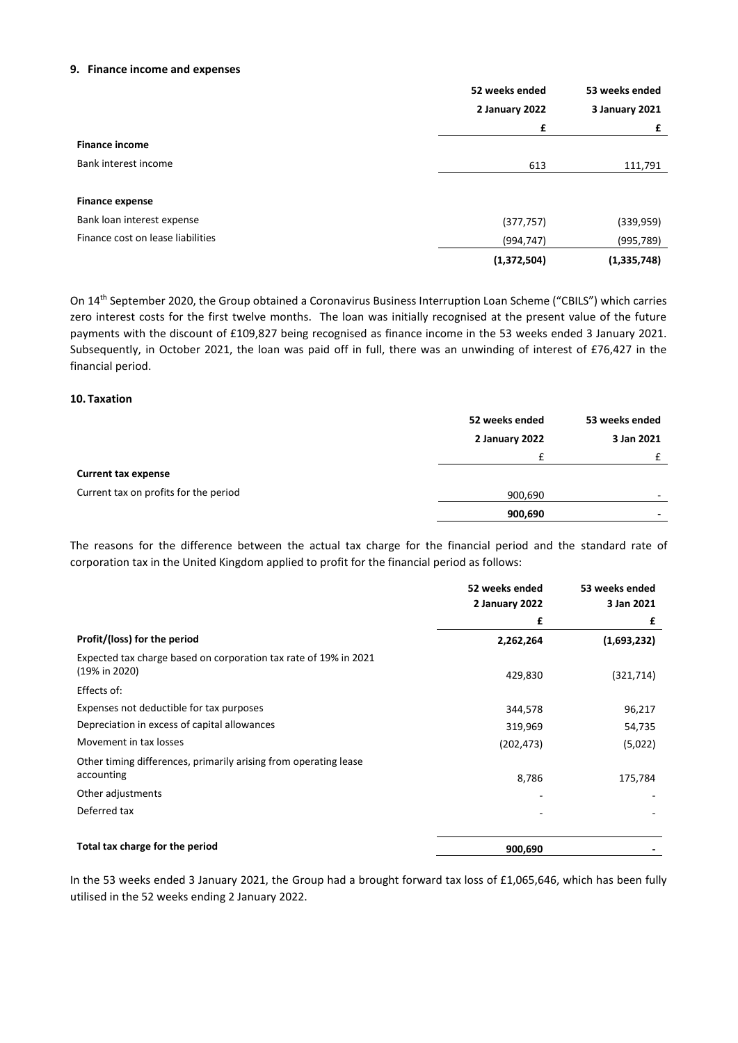#### **9. Finance income and expenses**

|                                   | 52 weeks ended | 53 weeks ended |
|-----------------------------------|----------------|----------------|
|                                   | 2 January 2022 | 3 January 2021 |
|                                   | £              | £              |
| <b>Finance income</b>             |                |                |
| Bank interest income              | 613            | 111,791        |
| <b>Finance expense</b>            |                |                |
| Bank loan interest expense        | (377, 757)     | (339, 959)     |
| Finance cost on lease liabilities | (994, 747)     | (995,789)      |
|                                   | (1,372,504)    | (1,335,748)    |

On 14th September 2020, the Group obtained a Coronavirus Business Interruption Loan Scheme ("CBILS") which carries zero interest costs for the first twelve months. The loan was initially recognised at the present value of the future payments with the discount of £109,827 being recognised as finance income in the 53 weeks ended 3 January 2021. Subsequently, in October 2021, the loan was paid off in full, there was an unwinding of interest of £76,427 in the financial period.

#### **10. Taxation**

|                                       | 52 weeks ended | 53 weeks ended |
|---------------------------------------|----------------|----------------|
|                                       | 2 January 2022 | 3 Jan 2021     |
|                                       | €              |                |
| <b>Current tax expense</b>            |                |                |
| Current tax on profits for the period | 900,690        | -              |
|                                       | 900,690        | -              |

The reasons for the difference between the actual tax charge for the financial period and the standard rate of corporation tax in the United Kingdom applied to profit for the financial period as follows:

|                                                                  | 52 weeks ended | 53 weeks ended |
|------------------------------------------------------------------|----------------|----------------|
|                                                                  | 2 January 2022 | 3 Jan 2021     |
|                                                                  | £              | £              |
| Profit/(loss) for the period                                     | 2,262,264      | (1,693,232)    |
| Expected tax charge based on corporation tax rate of 19% in 2021 |                |                |
| (19% in 2020)                                                    | 429,830        | (321, 714)     |
| Effects of:                                                      |                |                |
| Expenses not deductible for tax purposes                         | 344,578        | 96,217         |
| Depreciation in excess of capital allowances                     | 319,969        | 54,735         |
| Movement in tax losses                                           | (202, 473)     | (5,022)        |
| Other timing differences, primarily arising from operating lease |                |                |
| accounting                                                       | 8,786          | 175,784        |
| Other adjustments                                                |                |                |
| Deferred tax                                                     |                |                |
|                                                                  |                |                |
| Total tax charge for the period                                  | 900,690        |                |

In the 53 weeks ended 3 January 2021, the Group had a brought forward tax loss of £1,065,646, which has been fully utilised in the 52 weeks ending 2 January 2022.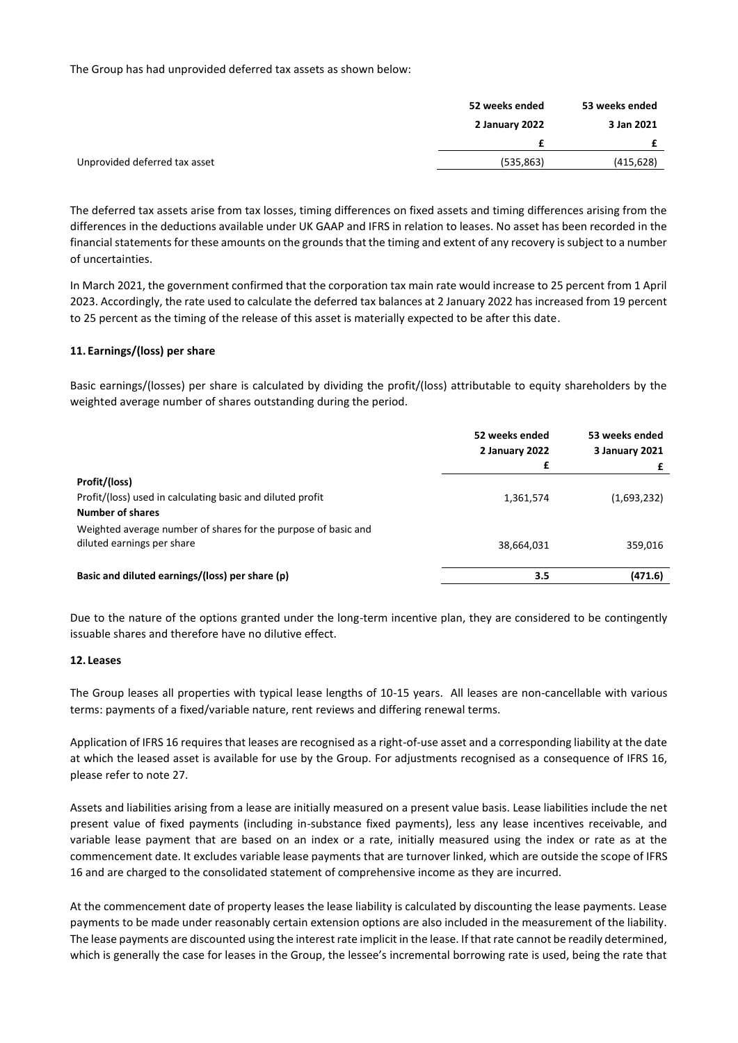The Group has had unprovided deferred tax assets as shown below:

|                               | 52 weeks ended | 53 weeks ended |
|-------------------------------|----------------|----------------|
|                               | 2 January 2022 | 3 Jan 2021     |
|                               |                |                |
| Unprovided deferred tax asset | (535, 863)     | (415,628)      |

The deferred tax assets arise from tax losses, timing differences on fixed assets and timing differences arising from the differences in the deductions available under UK GAAP and IFRS in relation to leases. No asset has been recorded in the financial statements for these amounts on the grounds that the timing and extent of any recovery is subject to a number of uncertainties.

In March 2021, the government confirmed that the corporation tax main rate would increase to 25 percent from 1 April 2023. Accordingly, the rate used to calculate the deferred tax balances at 2 January 2022 has increased from 19 percent to 25 percent as the timing of the release of this asset is materially expected to be after this date.

# **11. Earnings/(loss) per share**

Basic earnings/(losses) per share is calculated by dividing the profit/(loss) attributable to equity shareholders by the weighted average number of shares outstanding during the period.

|                                                                                              | 52 weeks ended<br>2 January 2022 | 53 weeks ended<br>3 January 2021 |
|----------------------------------------------------------------------------------------------|----------------------------------|----------------------------------|
|                                                                                              | £                                |                                  |
| Profit/(loss)                                                                                |                                  |                                  |
| Profit/(loss) used in calculating basic and diluted profit                                   | 1,361,574                        | (1,693,232)                      |
| <b>Number of shares</b>                                                                      |                                  |                                  |
| Weighted average number of shares for the purpose of basic and<br>diluted earnings per share | 38,664,031                       | 359,016                          |
| Basic and diluted earnings/(loss) per share (p)                                              | 3.5                              | (471.6)                          |

Due to the nature of the options granted under the long-term incentive plan, they are considered to be contingently issuable shares and therefore have no dilutive effect.

# **12. Leases**

The Group leases all properties with typical lease lengths of 10-15 years. All leases are non-cancellable with various terms: payments of a fixed/variable nature, rent reviews and differing renewal terms.

Application of IFRS 16 requires that leases are recognised as a right-of-use asset and a corresponding liability at the date at which the leased asset is available for use by the Group. For adjustments recognised as a consequence of IFRS 16, please refer to note 27.

Assets and liabilities arising from a lease are initially measured on a present value basis. Lease liabilities include the net present value of fixed payments (including in-substance fixed payments), less any lease incentives receivable, and variable lease payment that are based on an index or a rate, initially measured using the index or rate as at the commencement date. It excludes variable lease payments that are turnover linked, which are outside the scope of IFRS 16 and are charged to the consolidated statement of comprehensive income as they are incurred.

At the commencement date of property leases the lease liability is calculated by discounting the lease payments. Lease payments to be made under reasonably certain extension options are also included in the measurement of the liability. The lease payments are discounted using the interest rate implicit in the lease. If that rate cannot be readily determined, which is generally the case for leases in the Group, the lessee's incremental borrowing rate is used, being the rate that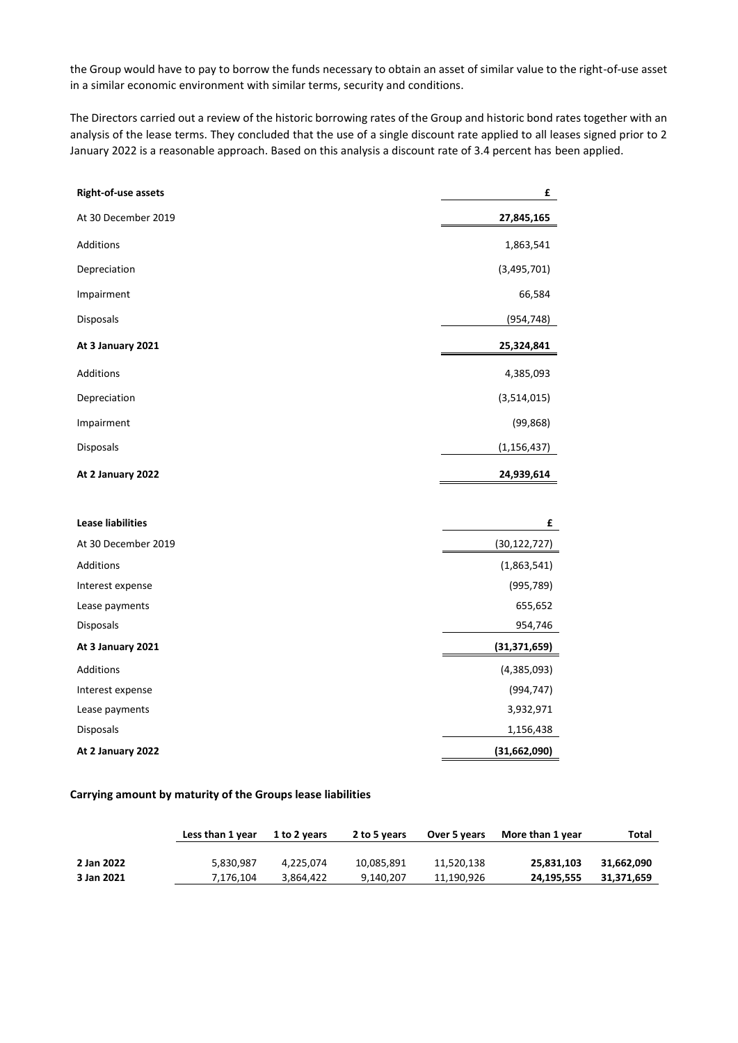the Group would have to pay to borrow the funds necessary to obtain an asset of similar value to the right-of-use asset in a similar economic environment with similar terms, security and conditions.

The Directors carried out a review of the historic borrowing rates of the Group and historic bond rates together with an analysis of the lease terms. They concluded that the use of a single discount rate applied to all leases signed prior to 2 January 2022 is a reasonable approach. Based on this analysis a discount rate of 3.4 percent has been applied.

| Right-of-use assets      | £              |
|--------------------------|----------------|
| At 30 December 2019      | 27,845,165     |
| Additions                | 1,863,541      |
| Depreciation             | (3,495,701)    |
| Impairment               | 66,584         |
| Disposals                | (954, 748)     |
| At 3 January 2021        | 25,324,841     |
| Additions                | 4,385,093      |
| Depreciation             | (3,514,015)    |
| Impairment               | (99, 868)      |
| Disposals                | (1, 156, 437)  |
| At 2 January 2022        | 24,939,614     |
|                          |                |
| <b>Lease liabilities</b> | £              |
| At 30 December 2019      | (30, 122, 727) |
| Additions                | (1,863,541)    |
| Interest expense         | (995, 789)     |
| Lease payments           | 655,652        |
| Disposals                | 954,746        |
| At 3 January 2021        | (31, 371, 659) |
| Additions                | (4,385,093)    |
| Interest expense         | (994, 747)     |
| Lease payments           | 3,932,971      |
| Disposals                | 1,156,438      |
| At 2 January 2022        | (31,662,090)   |

#### **Carrying amount by maturity of the Groups lease liabilities**

|            | Less than 1 year | 1 to 2 years | 2 to 5 years | Over 5 years | More than 1 year | Total      |
|------------|------------------|--------------|--------------|--------------|------------------|------------|
|            |                  |              |              |              |                  |            |
| 2 Jan 2022 | 5,830,987        | 4.225.074    | 10,085,891   | 11.520.138   | 25.831.103       | 31.662.090 |
| 3 Jan 2021 | 7.176.104        | 3.864.422    | 9.140.207    | 11.190.926   | 24.195.555       | 31.371.659 |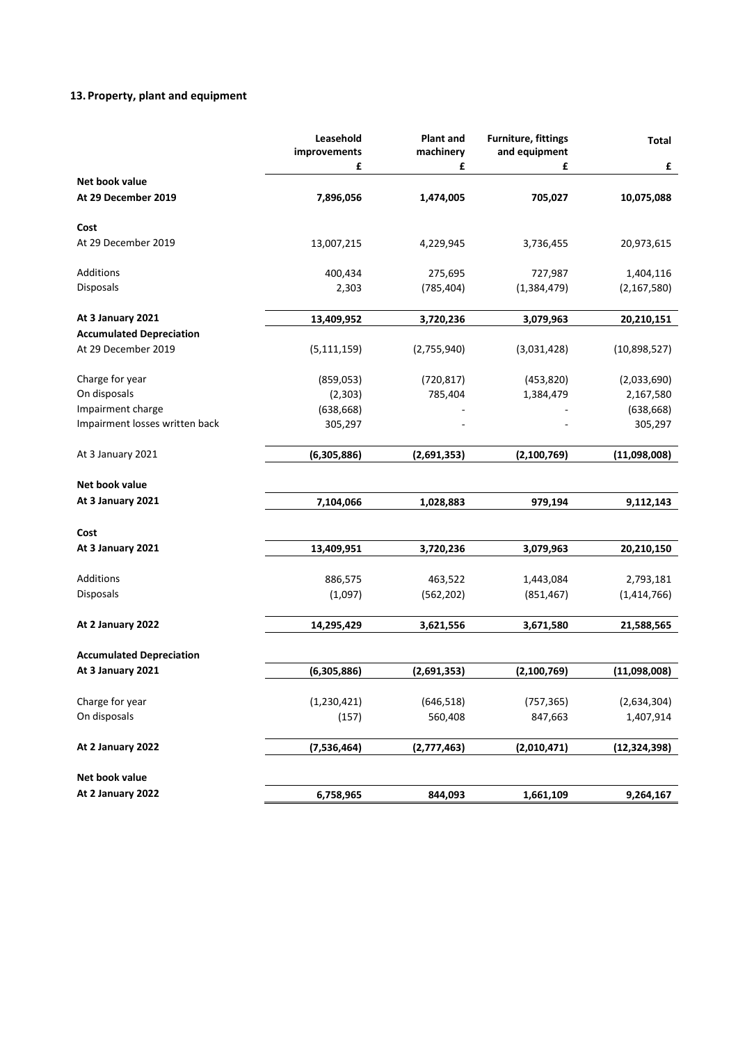# **13. Property, plant and equipment**

|                                       | Leasehold<br>improvements | <b>Plant and</b><br>machinery | <b>Furniture, fittings</b><br>and equipment | <b>Total</b>   |
|---------------------------------------|---------------------------|-------------------------------|---------------------------------------------|----------------|
|                                       | £                         | £                             | £                                           | £              |
| Net book value<br>At 29 December 2019 | 7,896,056                 | 1,474,005                     | 705,027                                     | 10,075,088     |
| Cost                                  |                           |                               |                                             |                |
| At 29 December 2019                   | 13,007,215                | 4,229,945                     | 3,736,455                                   | 20,973,615     |
| Additions                             | 400,434                   | 275,695                       | 727,987                                     | 1,404,116      |
| Disposals                             | 2,303                     | (785, 404)                    | (1,384,479)                                 | (2, 167, 580)  |
| At 3 January 2021                     | 13,409,952                | 3,720,236                     | 3,079,963                                   | 20,210,151     |
| <b>Accumulated Depreciation</b>       |                           |                               |                                             |                |
| At 29 December 2019                   | (5, 111, 159)             | (2,755,940)                   | (3,031,428)                                 | (10,898,527)   |
| Charge for year                       | (859, 053)                | (720, 817)                    | (453, 820)                                  | (2,033,690)    |
| On disposals                          | (2, 303)                  | 785,404                       | 1,384,479                                   | 2,167,580      |
| Impairment charge                     | (638, 668)                |                               |                                             | (638, 668)     |
| Impairment losses written back        | 305,297                   |                               |                                             | 305,297        |
| At 3 January 2021                     | (6,305,886)               | (2,691,353)                   | (2, 100, 769)                               | (11,098,008)   |
| Net book value                        |                           |                               |                                             |                |
| At 3 January 2021                     | 7,104,066                 | 1,028,883                     | 979,194                                     | 9,112,143      |
| Cost                                  |                           |                               |                                             |                |
| At 3 January 2021                     | 13,409,951                | 3,720,236                     | 3,079,963                                   | 20,210,150     |
| Additions                             | 886,575                   | 463,522                       | 1,443,084                                   | 2,793,181      |
| Disposals                             | (1,097)                   | (562, 202)                    | (851, 467)                                  | (1,414,766)    |
| At 2 January 2022                     | 14,295,429                | 3,621,556                     | 3,671,580                                   | 21,588,565     |
| <b>Accumulated Depreciation</b>       |                           |                               |                                             |                |
| At 3 January 2021                     | (6,305,886)               | (2,691,353)                   | (2, 100, 769)                               | (11,098,008)   |
|                                       |                           |                               |                                             |                |
| Charge for year                       | (1, 230, 421)             | (646, 518)                    | (757, 365)                                  | (2,634,304)    |
| On disposals                          | (157)                     | 560,408                       | 847,663                                     | 1,407,914      |
| At 2 January 2022                     | (7,536,464)               | (2,777,463)                   | (2,010,471)                                 | (12, 324, 398) |
| Net book value                        |                           |                               |                                             |                |
| At 2 January 2022                     | 6,758,965                 | 844,093                       | 1,661,109                                   | 9,264,167      |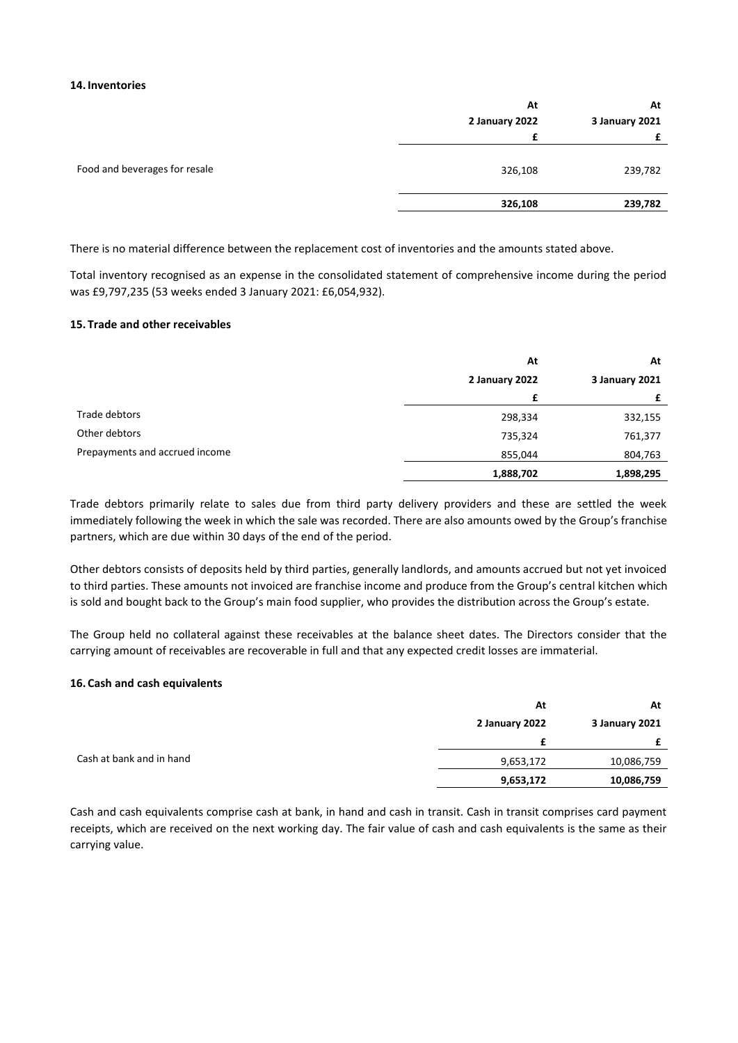#### **14. Inventories**

|                               | At             | At             |
|-------------------------------|----------------|----------------|
|                               | 2 January 2022 | 3 January 2021 |
|                               |                |                |
| Food and beverages for resale | 326,108        | 239,782        |
|                               | 326,108        | 239,782        |
|                               |                |                |

There is no material difference between the replacement cost of inventories and the amounts stated above.

Total inventory recognised as an expense in the consolidated statement of comprehensive income during the period was £9,797,235 (53 weeks ended 3 January 2021: £6,054,932).

#### **15. Trade and other receivables**

|                                | At             | At             |  |
|--------------------------------|----------------|----------------|--|
|                                | 2 January 2022 | 3 January 2021 |  |
|                                | £              | £              |  |
| Trade debtors                  | 298,334        | 332,155        |  |
| Other debtors                  | 735,324        | 761,377        |  |
| Prepayments and accrued income | 855,044        | 804,763        |  |
|                                | 1,888,702      | 1,898,295      |  |

Trade debtors primarily relate to sales due from third party delivery providers and these are settled the week immediately following the week in which the sale was recorded. There are also amounts owed by the Group's franchise partners, which are due within 30 days of the end of the period.

Other debtors consists of deposits held by third parties, generally landlords, and amounts accrued but not yet invoiced to third parties. These amounts not invoiced are franchise income and produce from the Group's central kitchen which is sold and bought back to the Group's main food supplier, who provides the distribution across the Group's estate.

The Group held no collateral against these receivables at the balance sheet dates. The Directors consider that the carrying amount of receivables are recoverable in full and that any expected credit losses are immaterial.

#### **16. Cash and cash equivalents**

|                          | At             | At             |
|--------------------------|----------------|----------------|
|                          | 2 January 2022 | 3 January 2021 |
|                          |                |                |
| Cash at bank and in hand | 9,653,172      | 10,086,759     |
|                          | 9,653,172      | 10,086,759     |

Cash and cash equivalents comprise cash at bank, in hand and cash in transit. Cash in transit comprises card payment receipts, which are received on the next working day. The fair value of cash and cash equivalents is the same as their carrying value.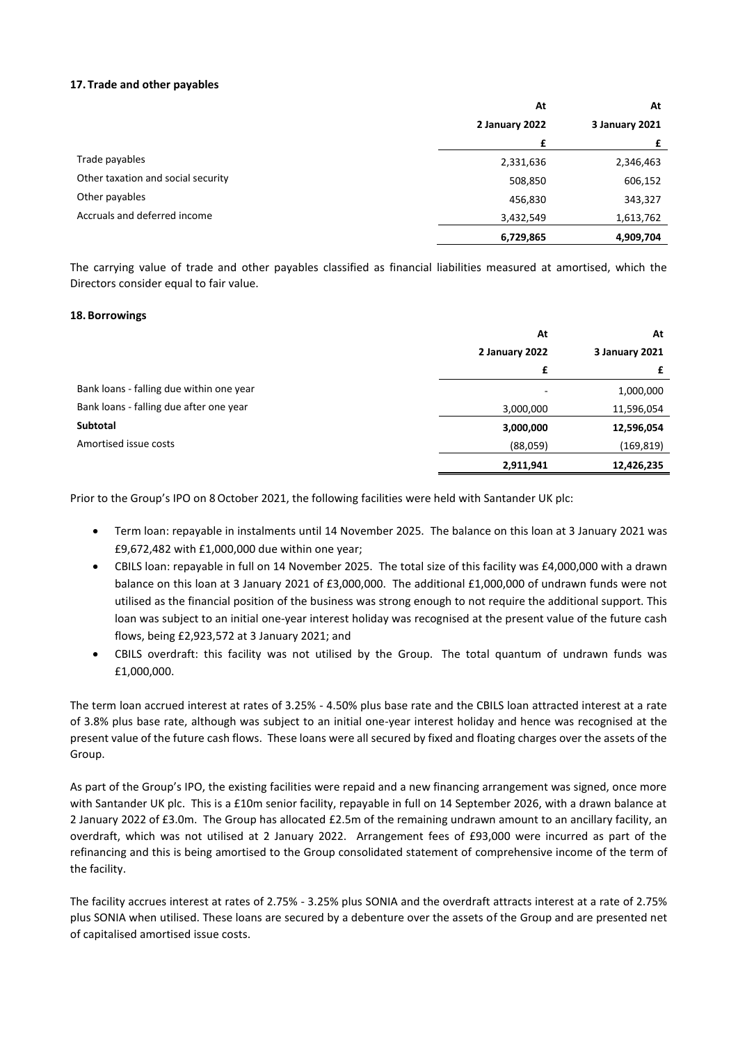### **17. Trade and other payables**

|                                    | At             | At<br>3 January 2021 |  |
|------------------------------------|----------------|----------------------|--|
|                                    | 2 January 2022 |                      |  |
|                                    | £              |                      |  |
| Trade payables                     | 2,331,636      | 2,346,463            |  |
| Other taxation and social security | 508,850        | 606,152              |  |
| Other payables                     | 456,830        | 343,327              |  |
| Accruals and deferred income       | 3,432,549      | 1,613,762            |  |
|                                    | 6,729,865      | 4,909,704            |  |

The carrying value of trade and other payables classified as financial liabilities measured at amortised, which the Directors consider equal to fair value.

#### **18. Borrowings**

|                                          | At             | At             |
|------------------------------------------|----------------|----------------|
|                                          | 2 January 2022 | 3 January 2021 |
|                                          | £              |                |
| Bank loans - falling due within one year |                | 1,000,000      |
| Bank loans - falling due after one year  | 3,000,000      | 11,596,054     |
| Subtotal                                 | 3,000,000      | 12,596,054     |
| Amortised issue costs                    | (88,059)       | (169, 819)     |
|                                          | 2,911,941      | 12,426,235     |

Prior to the Group's IPO on 8October 2021, the following facilities were held with Santander UK plc:

- Term loan: repayable in instalments until 14 November 2025. The balance on this loan at 3 January 2021 was £9,672,482 with £1,000,000 due within one year;
- CBILS loan: repayable in full on 14 November 2025. The total size of this facility was £4,000,000 with a drawn balance on this loan at 3 January 2021 of £3,000,000. The additional £1,000,000 of undrawn funds were not utilised as the financial position of the business was strong enough to not require the additional support. This loan was subject to an initial one-year interest holiday was recognised at the present value of the future cash flows, being £2,923,572 at 3 January 2021; and
- CBILS overdraft: this facility was not utilised by the Group. The total quantum of undrawn funds was £1,000,000.

The term loan accrued interest at rates of 3.25% - 4.50% plus base rate and the CBILS loan attracted interest at a rate of 3.8% plus base rate, although was subject to an initial one-year interest holiday and hence was recognised at the present value of the future cash flows. These loans were all secured by fixed and floating charges over the assets of the Group.

As part of the Group's IPO, the existing facilities were repaid and a new financing arrangement was signed, once more with Santander UK plc. This is a £10m senior facility, repayable in full on 14 September 2026, with a drawn balance at 2 January 2022 of £3.0m. The Group has allocated £2.5m of the remaining undrawn amount to an ancillary facility, an overdraft, which was not utilised at 2 January 2022. Arrangement fees of £93,000 were incurred as part of the refinancing and this is being amortised to the Group consolidated statement of comprehensive income of the term of the facility.

The facility accrues interest at rates of 2.75% - 3.25% plus SONIA and the overdraft attracts interest at a rate of 2.75% plus SONIA when utilised. These loans are secured by a debenture over the assets of the Group and are presented net of capitalised amortised issue costs.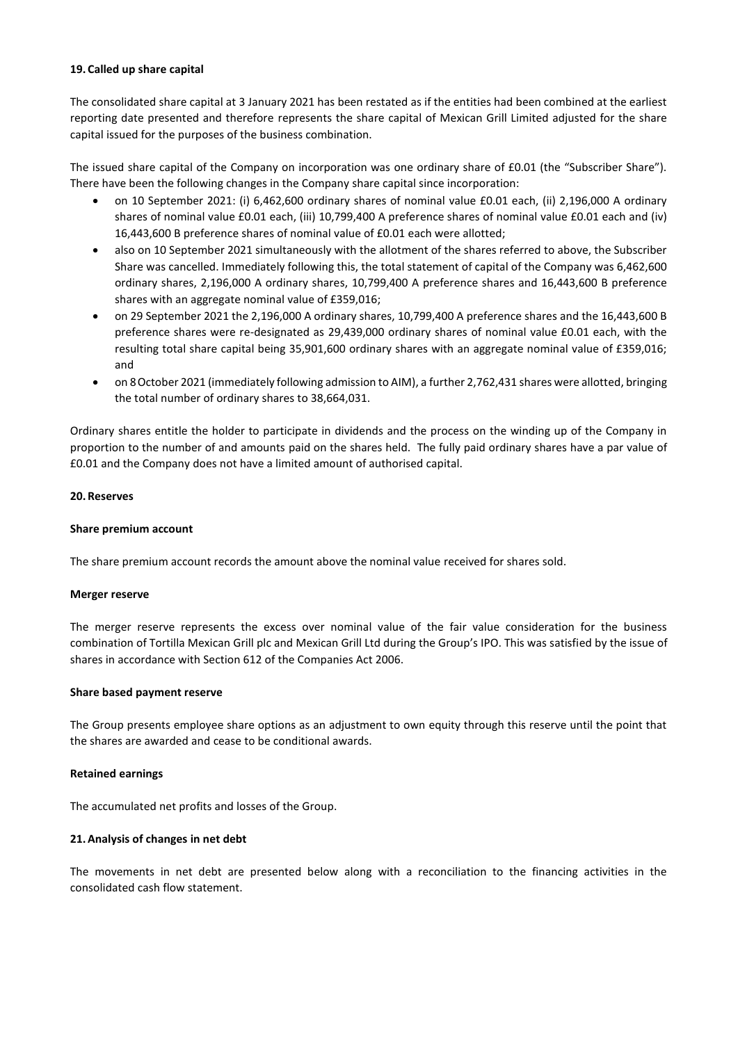#### **19. Called up share capital**

The consolidated share capital at 3 January 2021 has been restated as if the entities had been combined at the earliest reporting date presented and therefore represents the share capital of Mexican Grill Limited adjusted for the share capital issued for the purposes of the business combination.

The issued share capital of the Company on incorporation was one ordinary share of £0.01 (the "Subscriber Share"). There have been the following changes in the Company share capital since incorporation:

- on 10 September 2021: (i) 6,462,600 ordinary shares of nominal value £0.01 each, (ii) 2,196,000 A ordinary shares of nominal value £0.01 each, (iii) 10,799,400 A preference shares of nominal value £0.01 each and (iv) 16,443,600 B preference shares of nominal value of £0.01 each were allotted;
- also on 10 September 2021 simultaneously with the allotment of the shares referred to above, the Subscriber Share was cancelled. Immediately following this, the total statement of capital of the Company was 6,462,600 ordinary shares, 2,196,000 A ordinary shares, 10,799,400 A preference shares and 16,443,600 B preference shares with an aggregate nominal value of £359,016;
- on 29 September 2021 the 2,196,000 A ordinary shares, 10,799,400 A preference shares and the 16,443,600 B preference shares were re-designated as 29,439,000 ordinary shares of nominal value £0.01 each, with the resulting total share capital being 35,901,600 ordinary shares with an aggregate nominal value of £359,016; and
- on 8October 2021 (immediately following admission to AIM), a further 2,762,431 shares were allotted, bringing the total number of ordinary shares to 38,664,031.

Ordinary shares entitle the holder to participate in dividends and the process on the winding up of the Company in proportion to the number of and amounts paid on the shares held. The fully paid ordinary shares have a par value of £0.01 and the Company does not have a limited amount of authorised capital.

# **20. Reserves**

# **Share premium account**

The share premium account records the amount above the nominal value received for shares sold.

#### **Merger reserve**

The merger reserve represents the excess over nominal value of the fair value consideration for the business combination of Tortilla Mexican Grill plc and Mexican Grill Ltd during the Group's IPO. This was satisfied by the issue of shares in accordance with Section 612 of the Companies Act 2006.

#### **Share based payment reserve**

The Group presents employee share options as an adjustment to own equity through this reserve until the point that the shares are awarded and cease to be conditional awards.

#### **Retained earnings**

The accumulated net profits and losses of the Group.

#### **21.Analysis of changes in net debt**

The movements in net debt are presented below along with a reconciliation to the financing activities in the consolidated cash flow statement.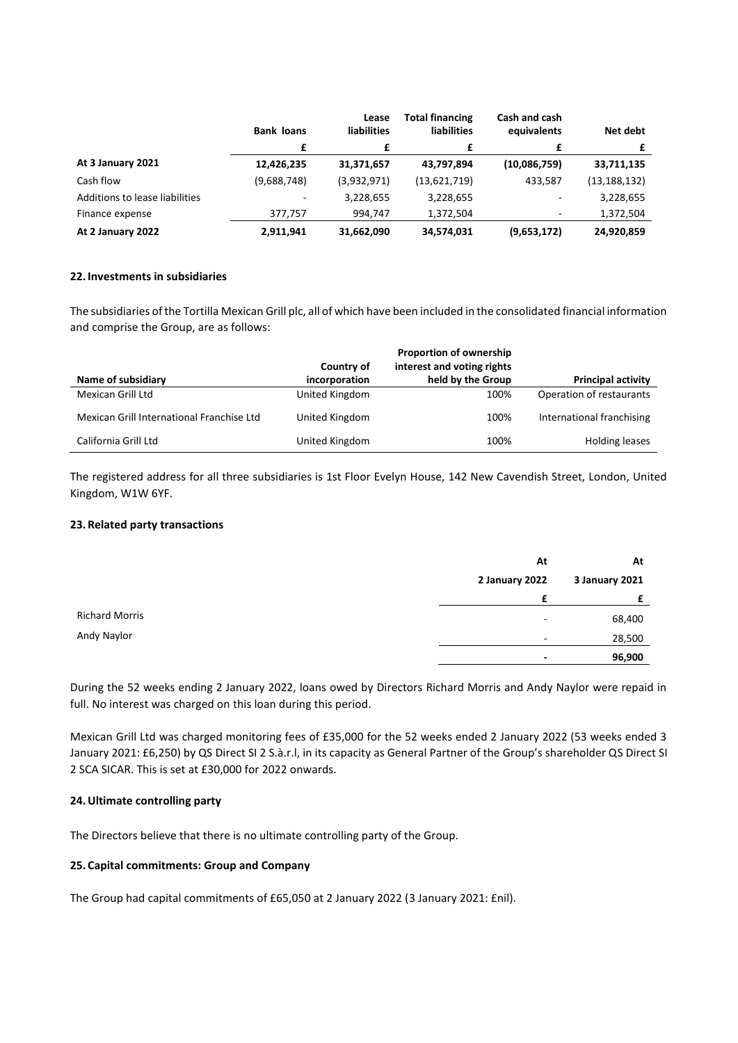|                                | <b>Bank loans</b> | Lease<br><b>liabilities</b> | <b>Total financing</b><br><b>liabilities</b> | Cash and cash<br>equivalents | Net debt       |
|--------------------------------|-------------------|-----------------------------|----------------------------------------------|------------------------------|----------------|
|                                | £                 | £                           |                                              | £                            |                |
| At 3 January 2021              | 12,426,235        | 31,371,657                  | 43,797,894                                   | (10,086,759)                 | 33,711,135     |
| Cash flow                      | (9,688,748)       | (3,932,971)                 | (13,621,719)                                 | 433,587                      | (13, 188, 132) |
| Additions to lease liabilities |                   | 3,228,655                   | 3,228,655                                    |                              | 3,228,655      |
| Finance expense                | 377,757           | 994,747                     | 1,372,504                                    |                              | 1,372,504      |
| At 2 January 2022              | 2,911,941         | 31,662,090                  | 34,574,031                                   | (9,653,172)                  | 24,920,859     |

# **22. Investments in subsidiaries**

The subsidiaries of the Tortilla Mexican Grill plc, all of which have been included in the consolidated financial information and comprise the Group, are as follows:

|                                           |                | <b>Proportion of ownership</b> |                           |
|-------------------------------------------|----------------|--------------------------------|---------------------------|
|                                           | Country of     | interest and voting rights     |                           |
| Name of subsidiary                        | incorporation  | held by the Group              | <b>Principal activity</b> |
| Mexican Grill Ltd                         | United Kingdom | 100%                           | Operation of restaurants  |
| Mexican Grill International Franchise Ltd | United Kingdom | 100%                           | International franchising |
| California Grill Ltd                      | United Kingdom | 100%                           | <b>Holding leases</b>     |

The registered address for all three subsidiaries is 1st Floor Evelyn House, 142 New Cavendish Street, London, United Kingdom, W1W 6YF.

#### **23. Related party transactions**

|                       | At                       | At             |
|-----------------------|--------------------------|----------------|
|                       | 2 January 2022           | 3 January 2021 |
|                       | £                        |                |
| <b>Richard Morris</b> | $\overline{\phantom{a}}$ | 68,400         |
| Andy Naylor           | $\overline{\phantom{a}}$ | 28,500         |
|                       | ٠                        | 96,900         |

During the 52 weeks ending 2 January 2022, loans owed by Directors Richard Morris and Andy Naylor were repaid in full. No interest was charged on this loan during this period.

Mexican Grill Ltd was charged monitoring fees of £35,000 for the 52 weeks ended 2 January 2022 (53 weeks ended 3 January 2021: £6,250) by QS Direct SI 2 S.à.r.l, in its capacity as General Partner of the Group's shareholder QS Direct SI 2 SCA SICAR. This is set at £30,000 for 2022 onwards.

# **24.Ultimate controlling party**

The Directors believe that there is no ultimate controlling party of the Group.

# **25. Capital commitments: Group and Company**

The Group had capital commitments of £65,050 at 2 January 2022 (3 January 2021: £nil).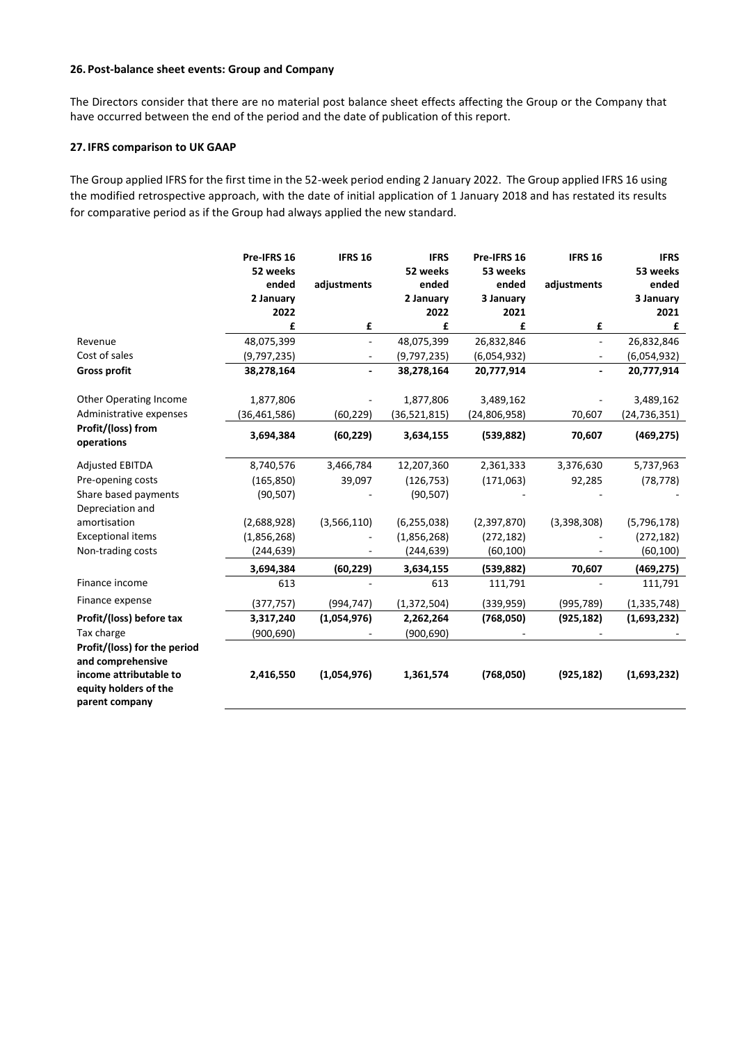# **26. Post-balance sheet events: Group and Company**

The Directors consider that there are no material post balance sheet effects affecting the Group or the Company that have occurred between the end of the period and the date of publication of this report.

# **27. IFRS comparison to UK GAAP**

The Group applied IFRS for the first time in the 52-week period ending 2 January 2022. The Group applied IFRS 16 using the modified retrospective approach, with the date of initial application of 1 January 2018 and has restated its results for comparative period as if the Group had always applied the new standard.

|                                  | Pre-IFRS 16       | <b>IFRS 16</b>           | <b>IFRS</b>       | Pre-IFRS 16       | <b>IFRS 16</b>           | <b>IFRS</b>       |
|----------------------------------|-------------------|--------------------------|-------------------|-------------------|--------------------------|-------------------|
|                                  | 52 weeks<br>ended | adjustments              | 52 weeks<br>ended | 53 weeks<br>ended | adjustments              | 53 weeks<br>ended |
|                                  | 2 January         |                          | 2 January         | 3 January         |                          | 3 January         |
|                                  | 2022              |                          | 2022              | 2021              |                          | 2021              |
|                                  | £                 | £                        | £                 | £                 | £                        | £                 |
| Revenue                          | 48,075,399        |                          | 48,075,399        | 26,832,846        | $\sim$                   | 26,832,846        |
| Cost of sales                    | (9,797,235)       | $\overline{\phantom{a}}$ | (9,797,235)       | (6,054,932)       | $\overline{\phantom{a}}$ | (6,054,932)       |
| <b>Gross profit</b>              | 38,278,164        |                          | 38,278,164        | 20,777,914        |                          | 20,777,914        |
| <b>Other Operating Income</b>    | 1,877,806         |                          | 1,877,806         | 3,489,162         |                          | 3,489,162         |
| Administrative expenses          | (36, 461, 586)    | (60, 229)                | (36,521,815)      | (24,806,958)      | 70,607                   | (24, 736, 351)    |
| Profit/(loss) from<br>operations | 3,694,384         | (60, 229)                | 3,634,155         | (539, 882)        | 70,607                   | (469, 275)        |
| <b>Adjusted EBITDA</b>           | 8,740,576         | 3,466,784                | 12,207,360        | 2,361,333         | 3,376,630                | 5,737,963         |
| Pre-opening costs                | (165, 850)        | 39,097                   | (126, 753)        | (171,063)         | 92,285                   | (78, 778)         |
| Share based payments             | (90, 507)         |                          | (90, 507)         |                   |                          |                   |
| Depreciation and                 |                   |                          |                   |                   |                          |                   |
| amortisation                     | (2,688,928)       | (3,566,110)              | (6, 255, 038)     | (2,397,870)       | (3,398,308)              | (5,796,178)       |
| <b>Exceptional items</b>         | (1,856,268)       |                          | (1,856,268)       | (272, 182)        |                          | (272, 182)        |
| Non-trading costs                | (244, 639)        |                          | (244,639)         | (60, 100)         |                          | (60,100)          |
|                                  | 3,694,384         | (60, 229)                | 3,634,155         | (539, 882)        | 70,607                   | (469,275)         |
| Finance income                   | 613               |                          | 613               | 111,791           |                          | 111,791           |
| Finance expense                  | (377, 757)        | (994, 747)               | (1, 372, 504)     | (339,959)         | (995, 789)               | (1, 335, 748)     |
| Profit/(loss) before tax         | 3,317,240         | (1,054,976)              | 2,262,264         | (768,050)         | (925, 182)               | (1,693,232)       |
| Tax charge                       | (900, 690)        |                          | (900, 690)        |                   |                          |                   |
| Profit/(loss) for the period     |                   |                          |                   |                   |                          |                   |
| and comprehensive                |                   |                          |                   |                   |                          |                   |
| income attributable to           | 2,416,550         | (1,054,976)              | 1,361,574         | (768,050)         | (925, 182)               | (1,693,232)       |
| equity holders of the            |                   |                          |                   |                   |                          |                   |
| parent company                   |                   |                          |                   |                   |                          |                   |